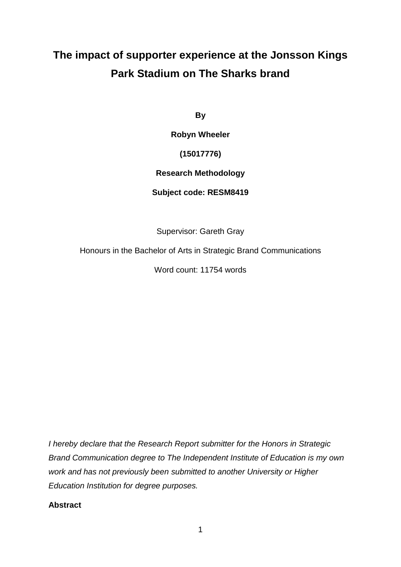# **The impact of supporter experience at the Jonsson Kings Park Stadium on The Sharks brand**

**By**

**Robyn Wheeler**

# **(15017776)**

# **Research Methodology**

# **Subject code: RESM8419**

Supervisor: Gareth Gray

Honours in the Bachelor of Arts in Strategic Brand Communications

Word count: 11754 words

*I hereby declare that the Research Report submitter for the Honors in Strategic Brand Communication degree to The Independent Institute of Education is my own work and has not previously been submitted to another University or Higher Education Institution for degree purposes.* 

**Abstract**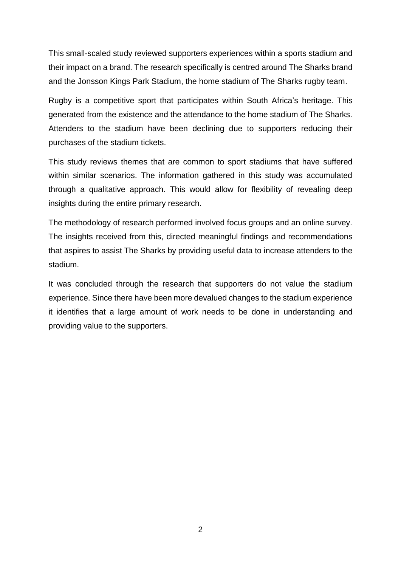This small-scaled study reviewed supporters experiences within a sports stadium and their impact on a brand. The research specifically is centred around The Sharks brand and the Jonsson Kings Park Stadium, the home stadium of The Sharks rugby team.

Rugby is a competitive sport that participates within South Africa's heritage. This generated from the existence and the attendance to the home stadium of The Sharks. Attenders to the stadium have been declining due to supporters reducing their purchases of the stadium tickets.

This study reviews themes that are common to sport stadiums that have suffered within similar scenarios. The information gathered in this study was accumulated through a qualitative approach. This would allow for flexibility of revealing deep insights during the entire primary research.

The methodology of research performed involved focus groups and an online survey. The insights received from this, directed meaningful findings and recommendations that aspires to assist The Sharks by providing useful data to increase attenders to the stadium.

It was concluded through the research that supporters do not value the stadium experience. Since there have been more devalued changes to the stadium experience it identifies that a large amount of work needs to be done in understanding and providing value to the supporters.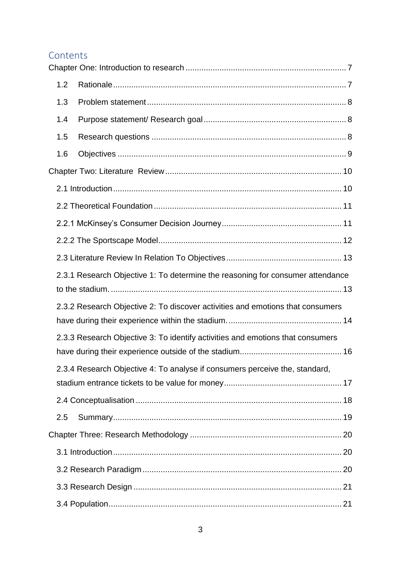# **Contents**

| 1.2 |                                                                                |
|-----|--------------------------------------------------------------------------------|
| 1.3 |                                                                                |
| 1.4 |                                                                                |
| 1.5 |                                                                                |
| 1.6 |                                                                                |
|     |                                                                                |
|     |                                                                                |
|     |                                                                                |
|     |                                                                                |
|     |                                                                                |
|     |                                                                                |
|     | 2.3.1 Research Objective 1: To determine the reasoning for consumer attendance |
|     |                                                                                |
|     | 2.3.2 Research Objective 2: To discover activities and emotions that consumers |
|     |                                                                                |
|     | 2.3.3 Research Objective 3: To identify activities and emotions that consumers |
|     |                                                                                |
|     | 2.3.4 Research Objective 4: To analyse if consumers perceive the, standard,    |
|     |                                                                                |
|     |                                                                                |
| 2.5 |                                                                                |
|     |                                                                                |
|     |                                                                                |
|     |                                                                                |
|     |                                                                                |
|     |                                                                                |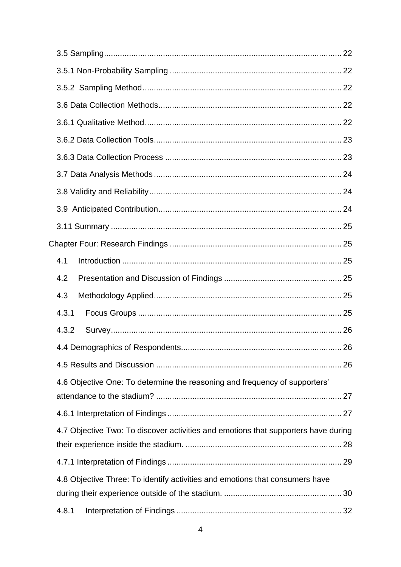| 4.1                                                                                |     |
|------------------------------------------------------------------------------------|-----|
| 4.2                                                                                |     |
| 4.3                                                                                |     |
| 4.3.1                                                                              |     |
| 4.3.2                                                                              |     |
|                                                                                    | .26 |
|                                                                                    |     |
| 4.6 Objective One: To determine the reasoning and frequency of supporters'         |     |
|                                                                                    |     |
|                                                                                    |     |
| 4.7 Objective Two: To discover activities and emotions that supporters have during |     |
|                                                                                    |     |
| 4.8 Objective Three: To identify activities and emotions that consumers have       |     |
|                                                                                    |     |
| 4.8.1                                                                              |     |
|                                                                                    |     |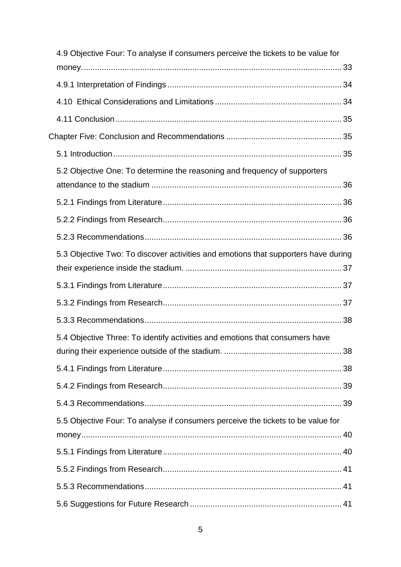| 4.9 Objective Four: To analyse if consumers perceive the tickets to be value for   |  |
|------------------------------------------------------------------------------------|--|
|                                                                                    |  |
|                                                                                    |  |
|                                                                                    |  |
|                                                                                    |  |
|                                                                                    |  |
|                                                                                    |  |
| 5.2 Objective One: To determine the reasoning and frequency of supporters          |  |
|                                                                                    |  |
|                                                                                    |  |
|                                                                                    |  |
| 5.3 Objective Two: To discover activities and emotions that supporters have during |  |
|                                                                                    |  |
|                                                                                    |  |
|                                                                                    |  |
| 5.4 Objective Three: To identify activities and emotions that consumers have       |  |
|                                                                                    |  |
|                                                                                    |  |
|                                                                                    |  |
|                                                                                    |  |
| 5.5 Objective Four: To analyse if consumers perceive the tickets to be value for   |  |
|                                                                                    |  |
|                                                                                    |  |
|                                                                                    |  |
|                                                                                    |  |
|                                                                                    |  |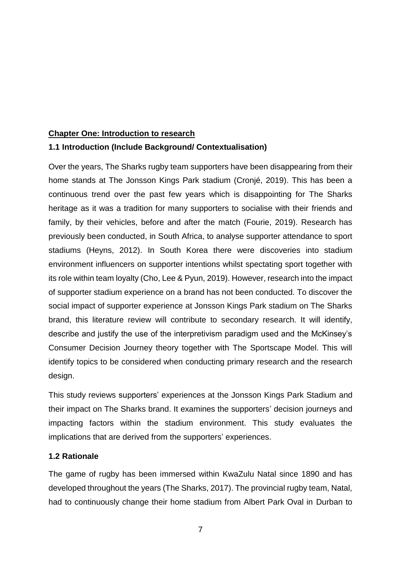#### <span id="page-6-0"></span>**Chapter One: Introduction to research**

# **1.1 Introduction (Include Background/ Contextualisation)**

Over the years, The Sharks rugby team supporters have been disappearing from their home stands at The Jonsson Kings Park stadium (Cronjé, 2019). This has been a continuous trend over the past few years which is disappointing for The Sharks heritage as it was a tradition for many supporters to socialise with their friends and family, by their vehicles, before and after the match (Fourie, 2019). Research has previously been conducted, in South Africa, to analyse supporter attendance to sport stadiums (Heyns, 2012). In South Korea there were discoveries into stadium environment influencers on supporter intentions whilst spectating sport together with its role within team loyalty (Cho, Lee & Pyun, 2019). However, research into the impact of supporter stadium experience on a brand has not been conducted. To discover the social impact of supporter experience at Jonsson Kings Park stadium on The Sharks brand, this literature review will contribute to secondary research. It will identify, describe and justify the use of the interpretivism paradigm used and the McKinsey's Consumer Decision Journey theory together with The Sportscape Model. This will identify topics to be considered when conducting primary research and the research design.

This study reviews supporters' experiences at the Jonsson Kings Park Stadium and their impact on The Sharks brand. It examines the supporters' decision journeys and impacting factors within the stadium environment. This study evaluates the implications that are derived from the supporters' experiences.

#### <span id="page-6-1"></span>**1.2 Rationale**

The game of rugby has been immersed within KwaZulu Natal since 1890 and has developed throughout the years (The Sharks, 2017). The provincial rugby team, Natal, had to continuously change their home stadium from Albert Park Oval in Durban to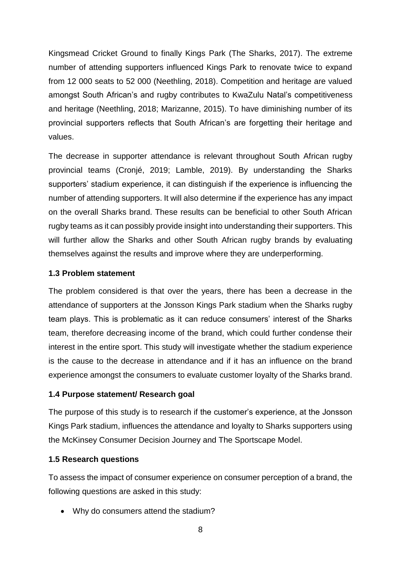Kingsmead Cricket Ground to finally Kings Park (The Sharks, 2017). The extreme number of attending supporters influenced Kings Park to renovate twice to expand from 12 000 seats to 52 000 (Neethling, 2018). Competition and heritage are valued amongst South African's and rugby contributes to KwaZulu Natal's competitiveness and heritage (Neethling, 2018; Marizanne, 2015). To have diminishing number of its provincial supporters reflects that South African's are forgetting their heritage and values.

The decrease in supporter attendance is relevant throughout South African rugby provincial teams (Cronjé, 2019; Lamble, 2019). By understanding the Sharks supporters' stadium experience, it can distinguish if the experience is influencing the number of attending supporters. It will also determine if the experience has any impact on the overall Sharks brand. These results can be beneficial to other South African rugby teams as it can possibly provide insight into understanding their supporters. This will further allow the Sharks and other South African rugby brands by evaluating themselves against the results and improve where they are underperforming.

#### <span id="page-7-0"></span>**1.3 Problem statement**

The problem considered is that over the years, there has been a decrease in the attendance of supporters at the Jonsson Kings Park stadium when the Sharks rugby team plays. This is problematic as it can reduce consumers' interest of the Sharks team, therefore decreasing income of the brand, which could further condense their interest in the entire sport. This study will investigate whether the stadium experience is the cause to the decrease in attendance and if it has an influence on the brand experience amongst the consumers to evaluate customer loyalty of the Sharks brand.

# <span id="page-7-1"></span>**1.4 Purpose statement/ Research goal**

The purpose of this study is to research if the customer's experience, at the Jonsson Kings Park stadium, influences the attendance and loyalty to Sharks supporters using the McKinsey Consumer Decision Journey and The Sportscape Model.

# <span id="page-7-2"></span>**1.5 Research questions**

To assess the impact of consumer experience on consumer perception of a brand, the following questions are asked in this study:

• Why do consumers attend the stadium?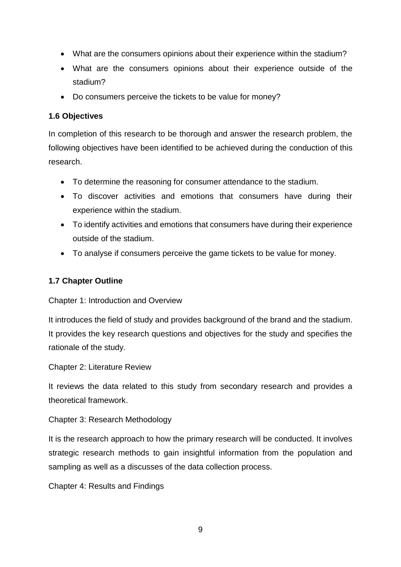- What are the consumers opinions about their experience within the stadium?
- What are the consumers opinions about their experience outside of the stadium?
- Do consumers perceive the tickets to be value for money?

# <span id="page-8-0"></span>**1.6 Objectives**

In completion of this research to be thorough and answer the research problem, the following objectives have been identified to be achieved during the conduction of this research.

- To determine the reasoning for consumer attendance to the stadium.
- To discover activities and emotions that consumers have during their experience within the stadium.
- To identify activities and emotions that consumers have during their experience outside of the stadium.
- To analyse if consumers perceive the game tickets to be value for money.

# **1.7 Chapter Outline**

# Chapter 1: Introduction and Overview

It introduces the field of study and provides background of the brand and the stadium. It provides the key research questions and objectives for the study and specifies the rationale of the study.

Chapter 2: Literature Review

It reviews the data related to this study from secondary research and provides a theoretical framework.

Chapter 3: Research Methodology

It is the research approach to how the primary research will be conducted. It involves strategic research methods to gain insightful information from the population and sampling as well as a discusses of the data collection process.

Chapter 4: Results and Findings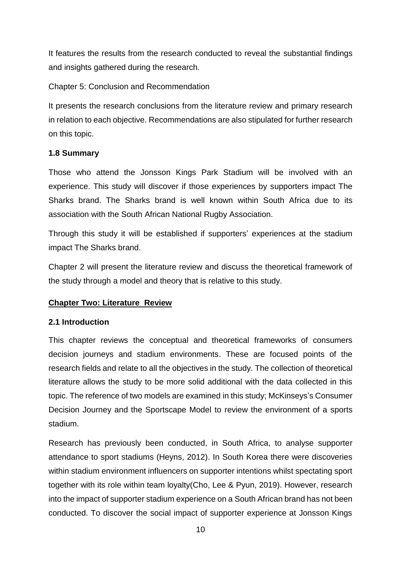It features the results from the research conducted to reveal the substantial findings and insights gathered during the research.

Chapter 5: Conclusion and Recommendation

It presents the research conclusions from the literature review and primary research in relation to each objective. Recommendations are also stipulated for further research on this topic.

#### **1.8 Summary**

Those who attend the Jonsson Kings Park Stadium will be involved with an experience. This study will discover if those experiences by supporters impact The Sharks brand. The Sharks brand is well known within South Africa due to its association with the South African National Rugby Association.

Through this study it will be established if supporters' experiences at the stadium impact The Sharks brand.

Chapter 2 will present the literature review and discuss the theoretical framework of the study through a model and theory that is relative to this study.

# <span id="page-9-0"></span>**Chapter Two: Literature Review**

#### <span id="page-9-1"></span>**2.1 Introduction**

This chapter reviews the conceptual and theoretical frameworks of consumers decision journeys and stadium environments. These are focused points of the research fields and relate to all the objectives in the study. The collection of theoretical literature allows the study to be more solid additional with the data collected in this topic. The reference of two models are examined in this study; McKinseys's Consumer Decision Journey and the Sportscape Model to review the environment of a sports stadium.

Research has previously been conducted, in South Africa, to analyse supporter attendance to sport stadiums (Heyns, 2012). In South Korea there were discoveries within stadium environment influencers on supporter intentions whilst spectating sport together with its role within team loyalty(Cho, Lee & Pyun, 2019). However, research into the impact of supporter stadium experience on a South African brand has not been conducted. To discover the social impact of supporter experience at Jonsson Kings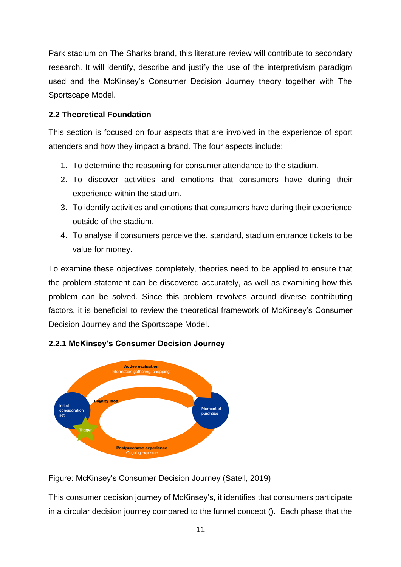Park stadium on The Sharks brand, this literature review will contribute to secondary research. It will identify, describe and justify the use of the interpretivism paradigm used and the McKinsey's Consumer Decision Journey theory together with The Sportscape Model.

# <span id="page-10-0"></span>**2.2 Theoretical Foundation**

This section is focused on four aspects that are involved in the experience of sport attenders and how they impact a brand. The four aspects include:

- 1. To determine the reasoning for consumer attendance to the stadium.
- 2. To discover activities and emotions that consumers have during their experience within the stadium.
- 3. To identify activities and emotions that consumers have during their experience outside of the stadium.
- 4. To analyse if consumers perceive the, standard, stadium entrance tickets to be value for money.

To examine these objectives completely, theories need to be applied to ensure that the problem statement can be discovered accurately, as well as examining how this problem can be solved. Since this problem revolves around diverse contributing factors, it is beneficial to review the theoretical framework of McKinsey's Consumer Decision Journey and the Sportscape Model.



# <span id="page-10-1"></span>**2.2.1 McKinsey's Consumer Decision Journey**

Figure: McKinsey's Consumer Decision Journey (Satell, 2019)

This consumer decision journey of McKinsey's, it identifies that consumers participate in a circular decision journey compared to the funnel concept (). Each phase that the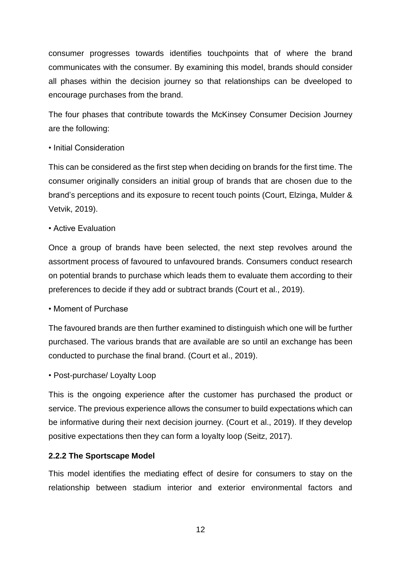consumer progresses towards identifies touchpoints that of where the brand communicates with the consumer. By examining this model, brands should consider all phases within the decision journey so that relationships can be dveeloped to encourage purchases from the brand.

The four phases that contribute towards the McKinsey Consumer Decision Journey are the following:

#### • Initial Consideration

This can be considered as the first step when deciding on brands for the first time. The consumer originally considers an initial group of brands that are chosen due to the brand's perceptions and its exposure to recent touch points (Court, Elzinga, Mulder & Vetvik, 2019).

#### • Active Evaluation

Once a group of brands have been selected, the next step revolves around the assortment process of favoured to unfavoured brands. Consumers conduct research on potential brands to purchase which leads them to evaluate them according to their preferences to decide if they add or subtract brands (Court et al., 2019).

#### • Moment of Purchase

The favoured brands are then further examined to distinguish which one will be further purchased. The various brands that are available are so until an exchange has been conducted to purchase the final brand. (Court et al., 2019).

#### • Post-purchase/ Loyalty Loop

This is the ongoing experience after the customer has purchased the product or service. The previous experience allows the consumer to build expectations which can be informative during their next decision journey. (Court et al., 2019). If they develop positive expectations then they can form a loyalty loop (Seitz, 2017).

#### <span id="page-11-0"></span>**2.2.2 The Sportscape Model**

This model identifies the mediating effect of desire for consumers to stay on the relationship between stadium interior and exterior environmental factors and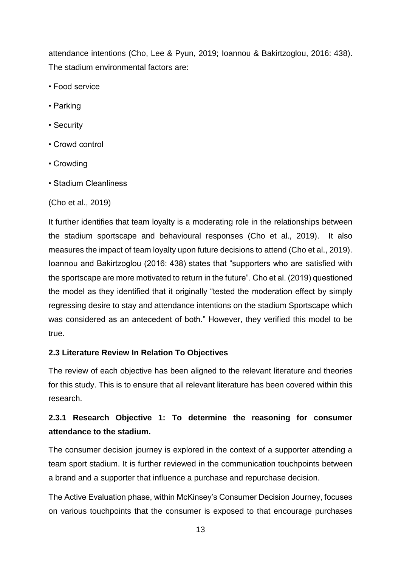attendance intentions (Cho, Lee & Pyun, 2019; Ioannou & Bakirtzoglou, 2016: 438). The stadium environmental factors are:

- Food service
- Parking
- Security
- Crowd control
- Crowding
- Stadium Cleanliness

# (Cho et al., 2019)

It further identifies that team loyalty is a moderating role in the relationships between the stadium sportscape and behavioural responses (Cho et al., 2019). It also measures the impact of team loyalty upon future decisions to attend (Cho et al., 2019). Ioannou and Bakirtzoglou (2016: 438) states that "supporters who are satisfied with the sportscape are more motivated to return in the future". Cho et al. (2019) questioned the model as they identified that it originally "tested the moderation effect by simply regressing desire to stay and attendance intentions on the stadium Sportscape which was considered as an antecedent of both." However, they verified this model to be true.

# <span id="page-12-0"></span>**2.3 Literature Review In Relation To Objectives**

The review of each objective has been aligned to the relevant literature and theories for this study. This is to ensure that all relevant literature has been covered within this research.

# <span id="page-12-1"></span>**2.3.1 Research Objective 1: To determine the reasoning for consumer attendance to the stadium.**

The consumer decision journey is explored in the context of a supporter attending a team sport stadium. It is further reviewed in the communication touchpoints between a brand and a supporter that influence a purchase and repurchase decision.

The Active Evaluation phase, within McKinsey's Consumer Decision Journey, focuses on various touchpoints that the consumer is exposed to that encourage purchases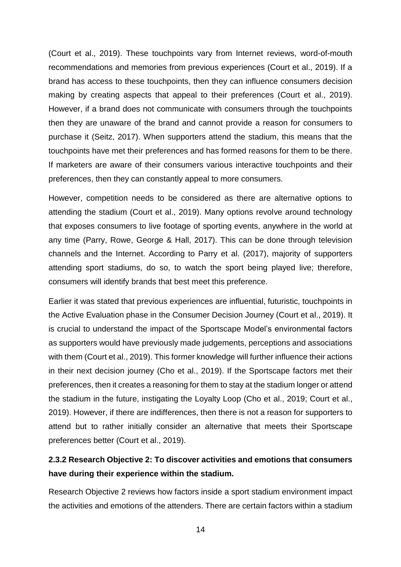(Court et al., 2019). These touchpoints vary from Internet reviews, word-of-mouth recommendations and memories from previous experiences (Court et al., 2019). If a brand has access to these touchpoints, then they can influence consumers decision making by creating aspects that appeal to their preferences (Court et al., 2019). However, if a brand does not communicate with consumers through the touchpoints then they are unaware of the brand and cannot provide a reason for consumers to purchase it (Seitz, 2017). When supporters attend the stadium, this means that the touchpoints have met their preferences and has formed reasons for them to be there. If marketers are aware of their consumers various interactive touchpoints and their preferences, then they can constantly appeal to more consumers.

However, competition needs to be considered as there are alternative options to attending the stadium (Court et al., 2019). Many options revolve around technology that exposes consumers to live footage of sporting events, anywhere in the world at any time (Parry, Rowe, George & Hall, 2017). This can be done through television channels and the Internet. According to Parry et al. (2017), majority of supporters attending sport stadiums, do so, to watch the sport being played live; therefore, consumers will identify brands that best meet this preference.

Earlier it was stated that previous experiences are influential, futuristic, touchpoints in the Active Evaluation phase in the Consumer Decision Journey (Court et al., 2019). It is crucial to understand the impact of the Sportscape Model's environmental factors as supporters would have previously made judgements, perceptions and associations with them (Court et al., 2019). This former knowledge will further influence their actions in their next decision journey (Cho et al., 2019). If the Sportscape factors met their preferences, then it creates a reasoning for them to stay at the stadium longer or attend the stadium in the future, instigating the Loyalty Loop (Cho et al., 2019; Court et al., 2019). However, if there are indifferences, then there is not a reason for supporters to attend but to rather initially consider an alternative that meets their Sportscape preferences better (Court et al., 2019).

# <span id="page-13-0"></span>**2.3.2 Research Objective 2: To discover activities and emotions that consumers have during their experience within the stadium.**

Research Objective 2 reviews how factors inside a sport stadium environment impact the activities and emotions of the attenders. There are certain factors within a stadium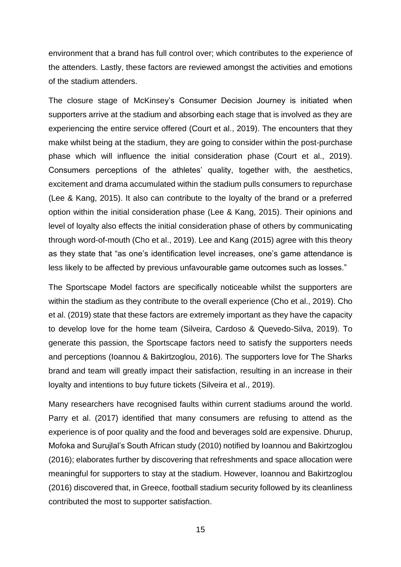environment that a brand has full control over; which contributes to the experience of the attenders. Lastly, these factors are reviewed amongst the activities and emotions of the stadium attenders.

The closure stage of McKinsey's Consumer Decision Journey is initiated when supporters arrive at the stadium and absorbing each stage that is involved as they are experiencing the entire service offered (Court et al., 2019). The encounters that they make whilst being at the stadium, they are going to consider within the post-purchase phase which will influence the initial consideration phase (Court et al., 2019). Consumers perceptions of the athletes' quality, together with, the aesthetics, excitement and drama accumulated within the stadium pulls consumers to repurchase (Lee & Kang, 2015). It also can contribute to the loyalty of the brand or a preferred option within the initial consideration phase (Lee & Kang, 2015). Their opinions and level of loyalty also effects the initial consideration phase of others by communicating through word-of-mouth (Cho et al., 2019). Lee and Kang (2015) agree with this theory as they state that "as one's identification level increases, one's game attendance is less likely to be affected by previous unfavourable game outcomes such as losses."

The Sportscape Model factors are specifically noticeable whilst the supporters are within the stadium as they contribute to the overall experience (Cho et al., 2019). Cho et al. (2019) state that these factors are extremely important as they have the capacity to develop love for the home team (Silveira, Cardoso & Quevedo-Silva, 2019). To generate this passion, the Sportscape factors need to satisfy the supporters needs and perceptions (Ioannou & Bakirtzoglou, 2016). The supporters love for The Sharks brand and team will greatly impact their satisfaction, resulting in an increase in their loyalty and intentions to buy future tickets (Silveira et al., 2019).

Many researchers have recognised faults within current stadiums around the world. Parry et al. (2017) identified that many consumers are refusing to attend as the experience is of poor quality and the food and beverages sold are expensive. Dhurup, Mofoka and Surujlal's South African study (2010) notified by Ioannou and Bakirtzoglou (2016); elaborates further by discovering that refreshments and space allocation were meaningful for supporters to stay at the stadium. However, Ioannou and Bakirtzoglou (2016) discovered that, in Greece, football stadium security followed by its cleanliness contributed the most to supporter satisfaction.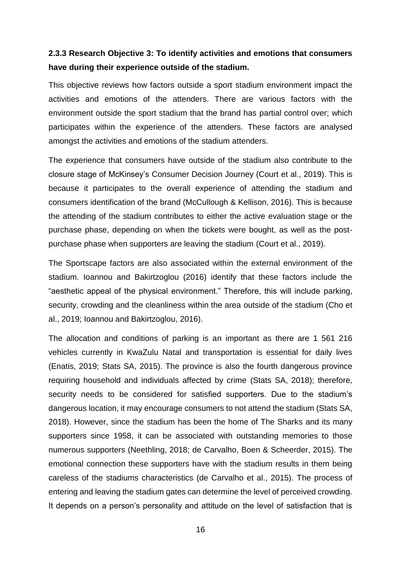# <span id="page-15-0"></span>**2.3.3 Research Objective 3: To identify activities and emotions that consumers have during their experience outside of the stadium.**

This objective reviews how factors outside a sport stadium environment impact the activities and emotions of the attenders. There are various factors with the environment outside the sport stadium that the brand has partial control over; which participates within the experience of the attenders. These factors are analysed amongst the activities and emotions of the stadium attenders.

The experience that consumers have outside of the stadium also contribute to the closure stage of McKinsey's Consumer Decision Journey (Court et al., 2019). This is because it participates to the overall experience of attending the stadium and consumers identification of the brand (McCullough & Kellison, 2016). This is because the attending of the stadium contributes to either the active evaluation stage or the purchase phase, depending on when the tickets were bought, as well as the postpurchase phase when supporters are leaving the stadium (Court et al., 2019).

The Sportscape factors are also associated within the external environment of the stadium. Ioannou and Bakirtzoglou (2016) identify that these factors include the "aesthetic appeal of the physical environment." Therefore, this will include parking, security, crowding and the cleanliness within the area outside of the stadium (Cho et al., 2019; Ioannou and Bakirtzoglou, 2016).

The allocation and conditions of parking is an important as there are 1 561 216 vehicles currently in KwaZulu Natal and transportation is essential for daily lives (Enatis, 2019; Stats SA, 2015). The province is also the fourth dangerous province requiring household and individuals affected by crime (Stats SA, 2018); therefore, security needs to be considered for satisfied supporters. Due to the stadium's dangerous location, it may encourage consumers to not attend the stadium (Stats SA, 2018). However, since the stadium has been the home of The Sharks and its many supporters since 1958, it can be associated with outstanding memories to those numerous supporters (Neethling, 2018; de Carvalho, Boen & Scheerder, 2015). The emotional connection these supporters have with the stadium results in them being careless of the stadiums characteristics (de Carvalho et al., 2015). The process of entering and leaving the stadium gates can determine the level of perceived crowding. It depends on a person's personality and attitude on the level of satisfaction that is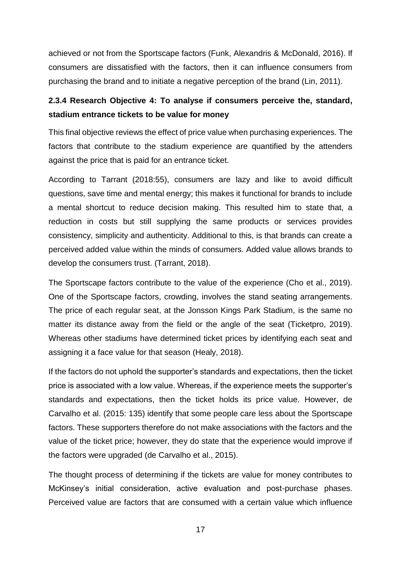achieved or not from the Sportscape factors (Funk, Alexandris & McDonald, 2016). If consumers are dissatisfied with the factors, then it can influence consumers from purchasing the brand and to initiate a negative perception of the brand (Lin, 2011).

# <span id="page-16-0"></span>**2.3.4 Research Objective 4: To analyse if consumers perceive the, standard, stadium entrance tickets to be value for money**

This final objective reviews the effect of price value when purchasing experiences. The factors that contribute to the stadium experience are quantified by the attenders against the price that is paid for an entrance ticket.

According to Tarrant (2018:55), consumers are lazy and like to avoid difficult questions, save time and mental energy; this makes it functional for brands to include a mental shortcut to reduce decision making. This resulted him to state that, a reduction in costs but still supplying the same products or services provides consistency, simplicity and authenticity. Additional to this, is that brands can create a perceived added value within the minds of consumers. Added value allows brands to develop the consumers trust. (Tarrant, 2018).

The Sportscape factors contribute to the value of the experience (Cho et al., 2019). One of the Sportscape factors, crowding, involves the stand seating arrangements. The price of each regular seat, at the Jonsson Kings Park Stadium, is the same no matter its distance away from the field or the angle of the seat (Ticketpro, 2019). Whereas other stadiums have determined ticket prices by identifying each seat and assigning it a face value for that season (Healy, 2018).

If the factors do not uphold the supporter's standards and expectations, then the ticket price is associated with a low value. Whereas, if the experience meets the supporter's standards and expectations, then the ticket holds its price value. However, de Carvalho et al. (2015: 135) identify that some people care less about the Sportscape factors. These supporters therefore do not make associations with the factors and the value of the ticket price; however, they do state that the experience would improve if the factors were upgraded (de Carvalho et al., 2015).

The thought process of determining if the tickets are value for money contributes to McKinsey's initial consideration, active evaluation and post-purchase phases. Perceived value are factors that are consumed with a certain value which influence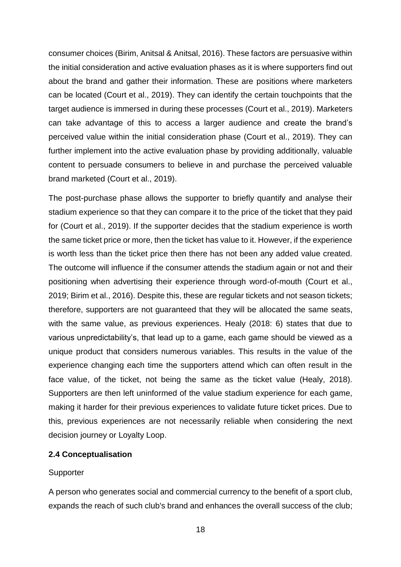consumer choices (Birim, Anitsal & Anitsal, 2016). These factors are persuasive within the initial consideration and active evaluation phases as it is where supporters find out about the brand and gather their information. These are positions where marketers can be located (Court et al., 2019). They can identify the certain touchpoints that the target audience is immersed in during these processes (Court et al., 2019). Marketers can take advantage of this to access a larger audience and create the brand's perceived value within the initial consideration phase (Court et al., 2019). They can further implement into the active evaluation phase by providing additionally, valuable content to persuade consumers to believe in and purchase the perceived valuable brand marketed (Court et al., 2019).

The post-purchase phase allows the supporter to briefly quantify and analyse their stadium experience so that they can compare it to the price of the ticket that they paid for (Court et al., 2019). If the supporter decides that the stadium experience is worth the same ticket price or more, then the ticket has value to it. However, if the experience is worth less than the ticket price then there has not been any added value created. The outcome will influence if the consumer attends the stadium again or not and their positioning when advertising their experience through word-of-mouth (Court et al., 2019; Birim et al., 2016). Despite this, these are regular tickets and not season tickets; therefore, supporters are not guaranteed that they will be allocated the same seats, with the same value, as previous experiences. Healy (2018: 6) states that due to various unpredictability's, that lead up to a game, each game should be viewed as a unique product that considers numerous variables. This results in the value of the experience changing each time the supporters attend which can often result in the face value, of the ticket, not being the same as the ticket value (Healy, 2018). Supporters are then left uninformed of the value stadium experience for each game, making it harder for their previous experiences to validate future ticket prices. Due to this, previous experiences are not necessarily reliable when considering the next decision journey or Loyalty Loop.

#### <span id="page-17-0"></span>**2.4 Conceptualisation**

#### **Supporter**

A person who generates social and commercial currency to the benefit of a sport club, expands the reach of such club's brand and enhances the overall success of the club;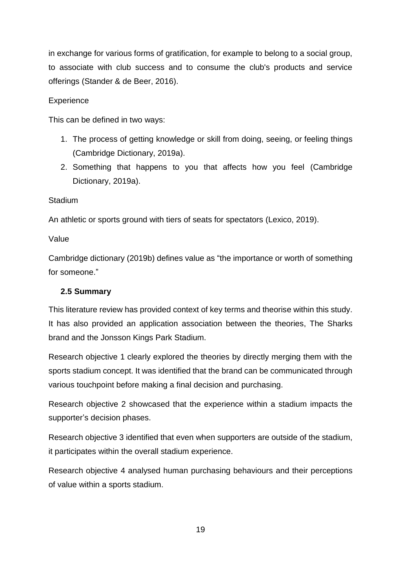in exchange for various forms of gratification, for example to belong to a social group, to associate with club success and to consume the club's products and service offerings (Stander & de Beer, 2016).

#### **Experience**

This can be defined in two ways:

- 1. The process of getting knowledge or skill from doing, seeing, or feeling things (Cambridge Dictionary, 2019a).
- 2. Something that happens to you that affects how you feel (Cambridge Dictionary, 2019a).

#### **Stadium**

An athletic or sports ground with tiers of seats for spectators (Lexico, 2019).

#### Value

Cambridge dictionary (2019b) defines value as "the importance or worth of something for someone."

# <span id="page-18-0"></span>**2.5 Summary**

This literature review has provided context of key terms and theorise within this study. It has also provided an application association between the theories, The Sharks brand and the Jonsson Kings Park Stadium.

Research objective 1 clearly explored the theories by directly merging them with the sports stadium concept. It was identified that the brand can be communicated through various touchpoint before making a final decision and purchasing.

Research objective 2 showcased that the experience within a stadium impacts the supporter's decision phases.

Research objective 3 identified that even when supporters are outside of the stadium, it participates within the overall stadium experience.

Research objective 4 analysed human purchasing behaviours and their perceptions of value within a sports stadium.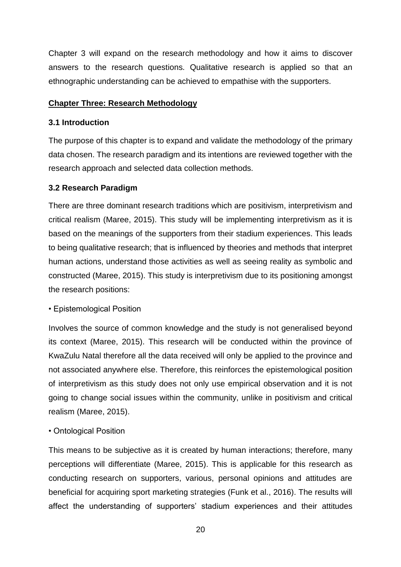Chapter 3 will expand on the research methodology and how it aims to discover answers to the research questions. Qualitative research is applied so that an ethnographic understanding can be achieved to empathise with the supporters.

#### <span id="page-19-0"></span>**Chapter Three: Research Methodology**

#### <span id="page-19-1"></span>**3.1 Introduction**

The purpose of this chapter is to expand and validate the methodology of the primary data chosen. The research paradigm and its intentions are reviewed together with the research approach and selected data collection methods.

#### <span id="page-19-2"></span>**3.2 Research Paradigm**

There are three dominant research traditions which are positivism, interpretivism and critical realism (Maree, 2015). This study will be implementing interpretivism as it is based on the meanings of the supporters from their stadium experiences. This leads to being qualitative research; that is influenced by theories and methods that interpret human actions, understand those activities as well as seeing reality as symbolic and constructed (Maree, 2015). This study is interpretivism due to its positioning amongst the research positions:

#### • Epistemological Position

Involves the source of common knowledge and the study is not generalised beyond its context (Maree, 2015). This research will be conducted within the province of KwaZulu Natal therefore all the data received will only be applied to the province and not associated anywhere else. Therefore, this reinforces the epistemological position of interpretivism as this study does not only use empirical observation and it is not going to change social issues within the community, unlike in positivism and critical realism (Maree, 2015).

#### • Ontological Position

This means to be subjective as it is created by human interactions; therefore, many perceptions will differentiate (Maree, 2015). This is applicable for this research as conducting research on supporters, various, personal opinions and attitudes are beneficial for acquiring sport marketing strategies (Funk et al., 2016). The results will affect the understanding of supporters' stadium experiences and their attitudes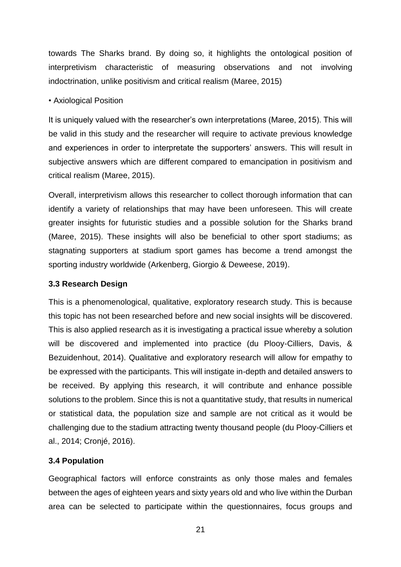towards The Sharks brand. By doing so, it highlights the ontological position of interpretivism characteristic of measuring observations and not involving indoctrination, unlike positivism and critical realism (Maree, 2015)

#### • Axiological Position

It is uniquely valued with the researcher's own interpretations (Maree, 2015). This will be valid in this study and the researcher will require to activate previous knowledge and experiences in order to interpretate the supporters' answers. This will result in subjective answers which are different compared to emancipation in positivism and critical realism (Maree, 2015).

Overall, interpretivism allows this researcher to collect thorough information that can identify a variety of relationships that may have been unforeseen. This will create greater insights for futuristic studies and a possible solution for the Sharks brand (Maree, 2015). These insights will also be beneficial to other sport stadiums; as stagnating supporters at stadium sport games has become a trend amongst the sporting industry worldwide (Arkenberg, Giorgio & Deweese, 2019).

#### <span id="page-20-0"></span>**3.3 Research Design**

This is a phenomenological, qualitative, exploratory research study. This is because this topic has not been researched before and new social insights will be discovered. This is also applied research as it is investigating a practical issue whereby a solution will be discovered and implemented into practice (du Plooy-Cilliers, Davis, & Bezuidenhout, 2014). Qualitative and exploratory research will allow for empathy to be expressed with the participants. This will instigate in-depth and detailed answers to be received. By applying this research, it will contribute and enhance possible solutions to the problem. Since this is not a quantitative study, that results in numerical or statistical data, the population size and sample are not critical as it would be challenging due to the stadium attracting twenty thousand people (du Plooy-Cilliers et al., 2014; Cronjé, 2016).

#### <span id="page-20-1"></span>**3.4 Population**

Geographical factors will enforce constraints as only those males and females between the ages of eighteen years and sixty years old and who live within the Durban area can be selected to participate within the questionnaires, focus groups and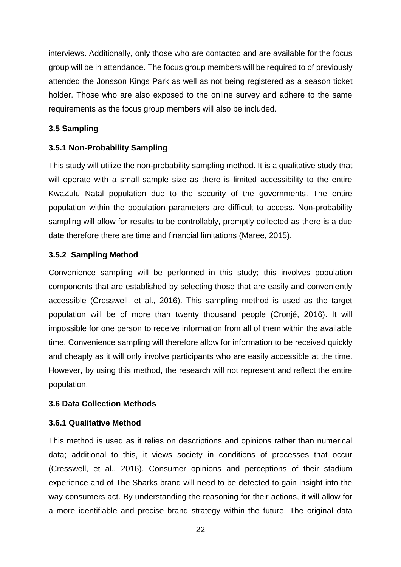interviews. Additionally, only those who are contacted and are available for the focus group will be in attendance. The focus group members will be required to of previously attended the Jonsson Kings Park as well as not being registered as a season ticket holder. Those who are also exposed to the online survey and adhere to the same requirements as the focus group members will also be included.

# <span id="page-21-0"></span>**3.5 Sampling**

# <span id="page-21-1"></span>**3.5.1 Non-Probability Sampling**

This study will utilize the non-probability sampling method. It is a qualitative study that will operate with a small sample size as there is limited accessibility to the entire KwaZulu Natal population due to the security of the governments. The entire population within the population parameters are difficult to access. Non-probability sampling will allow for results to be controllably, promptly collected as there is a due date therefore there are time and financial limitations (Maree, 2015).

# <span id="page-21-2"></span>**3.5.2 Sampling Method**

Convenience sampling will be performed in this study; this involves population components that are established by selecting those that are easily and conveniently accessible (Cresswell, et al., 2016). This sampling method is used as the target population will be of more than twenty thousand people (Cronjé, 2016). It will impossible for one person to receive information from all of them within the available time. Convenience sampling will therefore allow for information to be received quickly and cheaply as it will only involve participants who are easily accessible at the time. However, by using this method, the research will not represent and reflect the entire population.

# <span id="page-21-3"></span>**3.6 Data Collection Methods**

# <span id="page-21-4"></span>**3.6.1 Qualitative Method**

This method is used as it relies on descriptions and opinions rather than numerical data; additional to this, it views society in conditions of processes that occur (Cresswell, et al., 2016). Consumer opinions and perceptions of their stadium experience and of The Sharks brand will need to be detected to gain insight into the way consumers act. By understanding the reasoning for their actions, it will allow for a more identifiable and precise brand strategy within the future. The original data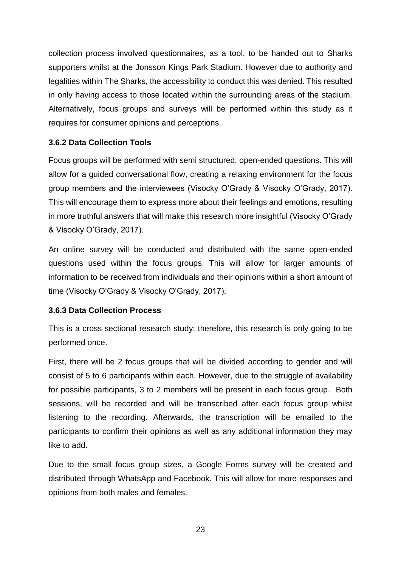collection process involved questionnaires, as a tool, to be handed out to Sharks supporters whilst at the Jonsson Kings Park Stadium. However due to authority and legalities within The Sharks, the accessibility to conduct this was denied. This resulted in only having access to those located within the surrounding areas of the stadium. Alternatively, focus groups and surveys will be performed within this study as it requires for consumer opinions and perceptions.

# <span id="page-22-0"></span>**3.6.2 Data Collection Tools**

Focus groups will be performed with semi structured, open-ended questions. This will allow for a guided conversational flow, creating a relaxing environment for the focus group members and the interviewees (Visocky O'Grady & Visocky O'Grady, 2017). This will encourage them to express more about their feelings and emotions, resulting in more truthful answers that will make this research more insightful (Visocky O'Grady & Visocky O'Grady, 2017).

An online survey will be conducted and distributed with the same open-ended questions used within the focus groups. This will allow for larger amounts of information to be received from individuals and their opinions within a short amount of time (Visocky O'Grady & Visocky O'Grady, 2017).

# <span id="page-22-1"></span>**3.6.3 Data Collection Process**

This is a cross sectional research study; therefore, this research is only going to be performed once.

First, there will be 2 focus groups that will be divided according to gender and will consist of 5 to 6 participants within each. However, due to the struggle of availability for possible participants, 3 to 2 members will be present in each focus group. Both sessions, will be recorded and will be transcribed after each focus group whilst listening to the recording. Afterwards, the transcription will be emailed to the participants to confirm their opinions as well as any additional information they may like to add.

Due to the small focus group sizes, a Google Forms survey will be created and distributed through WhatsApp and Facebook. This will allow for more responses and opinions from both males and females.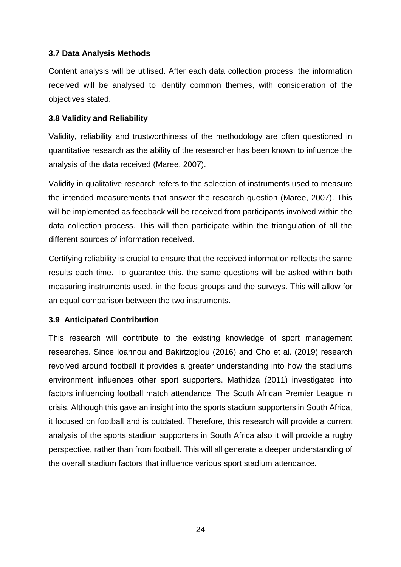# <span id="page-23-0"></span>**3.7 Data Analysis Methods**

Content analysis will be utilised. After each data collection process, the information received will be analysed to identify common themes, with consideration of the objectives stated.

#### <span id="page-23-1"></span>**3.8 Validity and Reliability**

Validity, reliability and trustworthiness of the methodology are often questioned in quantitative research as the ability of the researcher has been known to influence the analysis of the data received (Maree, 2007).

Validity in qualitative research refers to the selection of instruments used to measure the intended measurements that answer the research question (Maree, 2007). This will be implemented as feedback will be received from participants involved within the data collection process. This will then participate within the triangulation of all the different sources of information received.

Certifying reliability is crucial to ensure that the received information reflects the same results each time. To guarantee this, the same questions will be asked within both measuring instruments used, in the focus groups and the surveys. This will allow for an equal comparison between the two instruments.

# <span id="page-23-2"></span>**3.9 Anticipated Contribution**

This research will contribute to the existing knowledge of sport management researches. Since Ioannou and Bakirtzoglou (2016) and Cho et al. (2019) research revolved around football it provides a greater understanding into how the stadiums environment influences other sport supporters. Mathidza (2011) investigated into factors influencing football match attendance: The South African Premier League in crisis. Although this gave an insight into the sports stadium supporters in South Africa, it focused on football and is outdated. Therefore, this research will provide a current analysis of the sports stadium supporters in South Africa also it will provide a rugby perspective, rather than from football. This will all generate a deeper understanding of the overall stadium factors that influence various sport stadium attendance.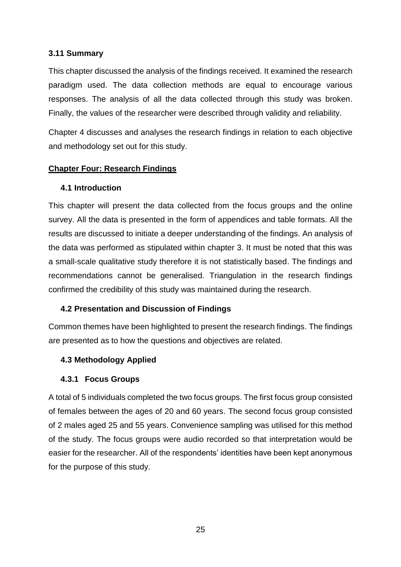#### <span id="page-24-0"></span>**3.11 Summary**

This chapter discussed the analysis of the findings received. It examined the research paradigm used. The data collection methods are equal to encourage various responses. The analysis of all the data collected through this study was broken. Finally, the values of the researcher were described through validity and reliability.

Chapter 4 discusses and analyses the research findings in relation to each objective and methodology set out for this study.

#### <span id="page-24-2"></span><span id="page-24-1"></span>**Chapter Four: Research Findings**

#### **4.1 Introduction**

This chapter will present the data collected from the focus groups and the online survey. All the data is presented in the form of appendices and table formats. All the results are discussed to initiate a deeper understanding of the findings. An analysis of the data was performed as stipulated within chapter 3. It must be noted that this was a small-scale qualitative study therefore it is not statistically based. The findings and recommendations cannot be generalised. Triangulation in the research findings confirmed the credibility of this study was maintained during the research.

# <span id="page-24-3"></span>**4.2 Presentation and Discussion of Findings**

Common themes have been highlighted to present the research findings. The findings are presented as to how the questions and objectives are related.

# <span id="page-24-4"></span>**4.3 Methodology Applied**

#### <span id="page-24-5"></span>**4.3.1 Focus Groups**

A total of 5 individuals completed the two focus groups. The first focus group consisted of females between the ages of 20 and 60 years. The second focus group consisted of 2 males aged 25 and 55 years. Convenience sampling was utilised for this method of the study. The focus groups were audio recorded so that interpretation would be easier for the researcher. All of the respondents' identities have been kept anonymous for the purpose of this study.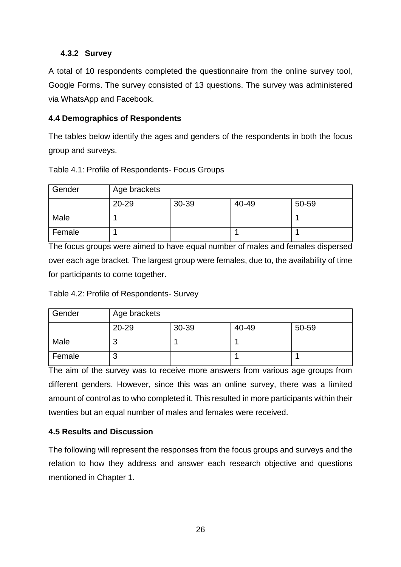# <span id="page-25-0"></span>**4.3.2 Survey**

A total of 10 respondents completed the questionnaire from the online survey tool, Google Forms. The survey consisted of 13 questions. The survey was administered via WhatsApp and Facebook.

# <span id="page-25-1"></span>**4.4 Demographics of Respondents**

The tables below identify the ages and genders of the respondents in both the focus group and surveys.

| Table 4.1: Profile of Respondents- Focus Groups |
|-------------------------------------------------|
|-------------------------------------------------|

| Gender | Age brackets |       |       |       |
|--------|--------------|-------|-------|-------|
|        | 20-29        | 30-39 | 40-49 | 50-59 |
| Male   |              |       |       |       |
| Female |              |       |       |       |

The focus groups were aimed to have equal number of males and females dispersed over each age bracket. The largest group were females, due to, the availability of time for participants to come together.

Table 4.2: Profile of Respondents- Survey

| Gender | Age brackets |       |       |       |
|--------|--------------|-------|-------|-------|
|        | 20-29        | 30-39 | 40-49 | 50-59 |
| Male   | 3            |       |       |       |
| Female | ◠<br>ن       |       |       |       |

The aim of the survey was to receive more answers from various age groups from different genders. However, since this was an online survey, there was a limited amount of control as to who completed it. This resulted in more participants within their twenties but an equal number of males and females were received.

# <span id="page-25-2"></span>**4.5 Results and Discussion**

The following will represent the responses from the focus groups and surveys and the relation to how they address and answer each research objective and questions mentioned in Chapter 1.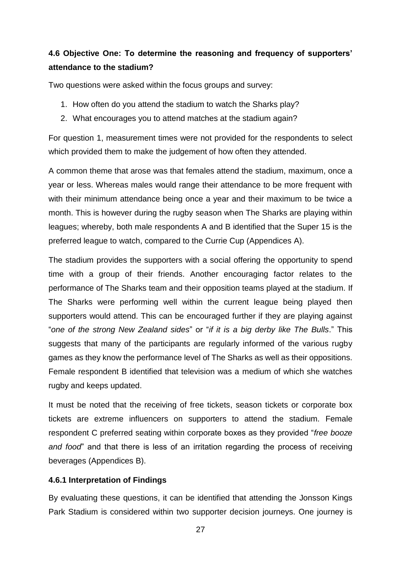# <span id="page-26-0"></span>**4.6 Objective One: To determine the reasoning and frequency of supporters' attendance to the stadium?**

Two questions were asked within the focus groups and survey:

- 1. How often do you attend the stadium to watch the Sharks play?
- 2. What encourages you to attend matches at the stadium again?

For question 1, measurement times were not provided for the respondents to select which provided them to make the judgement of how often they attended.

A common theme that arose was that females attend the stadium, maximum, once a year or less. Whereas males would range their attendance to be more frequent with with their minimum attendance being once a year and their maximum to be twice a month. This is however during the rugby season when The Sharks are playing within leagues; whereby, both male respondents A and B identified that the Super 15 is the preferred league to watch, compared to the Currie Cup (Appendices A).

The stadium provides the supporters with a social offering the opportunity to spend time with a group of their friends. Another encouraging factor relates to the performance of The Sharks team and their opposition teams played at the stadium. If The Sharks were performing well within the current league being played then supporters would attend. This can be encouraged further if they are playing against "*one of the strong New Zealand sides*" or "*if it is a big derby like The Bulls*." This suggests that many of the participants are regularly informed of the various rugby games as they know the performance level of The Sharks as well as their oppositions. Female respondent B identified that television was a medium of which she watches rugby and keeps updated.

It must be noted that the receiving of free tickets, season tickets or corporate box tickets are extreme influencers on supporters to attend the stadium. Female respondent C preferred seating within corporate boxes as they provided "*free booze and food*" and that there is less of an irritation regarding the process of receiving beverages (Appendices B).

# <span id="page-26-1"></span>**4.6.1 Interpretation of Findings**

By evaluating these questions, it can be identified that attending the Jonsson Kings Park Stadium is considered within two supporter decision journeys. One journey is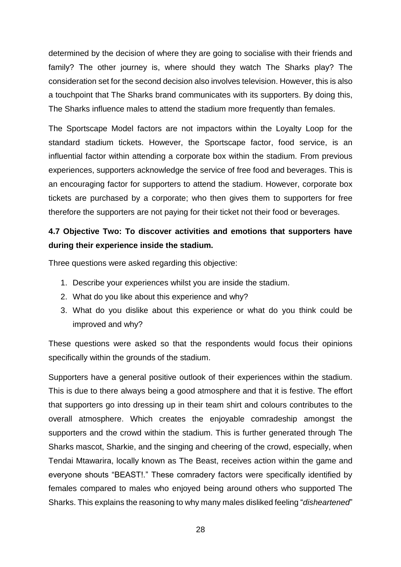determined by the decision of where they are going to socialise with their friends and family? The other journey is, where should they watch The Sharks play? The consideration set for the second decision also involves television. However, this is also a touchpoint that The Sharks brand communicates with its supporters. By doing this, The Sharks influence males to attend the stadium more frequently than females.

The Sportscape Model factors are not impactors within the Loyalty Loop for the standard stadium tickets. However, the Sportscape factor, food service, is an influential factor within attending a corporate box within the stadium. From previous experiences, supporters acknowledge the service of free food and beverages. This is an encouraging factor for supporters to attend the stadium. However, corporate box tickets are purchased by a corporate; who then gives them to supporters for free therefore the supporters are not paying for their ticket not their food or beverages.

# <span id="page-27-0"></span>**4.7 Objective Two: To discover activities and emotions that supporters have during their experience inside the stadium.**

Three questions were asked regarding this objective:

- 1. Describe your experiences whilst you are inside the stadium.
- 2. What do you like about this experience and why?
- 3. What do you dislike about this experience or what do you think could be improved and why?

These questions were asked so that the respondents would focus their opinions specifically within the grounds of the stadium.

Supporters have a general positive outlook of their experiences within the stadium. This is due to there always being a good atmosphere and that it is festive. The effort that supporters go into dressing up in their team shirt and colours contributes to the overall atmosphere. Which creates the enjoyable comradeship amongst the supporters and the crowd within the stadium. This is further generated through The Sharks mascot, Sharkie, and the singing and cheering of the crowd, especially, when Tendai Mtawarira, locally known as The Beast, receives action within the game and everyone shouts "BEAST!." These comradery factors were specifically identified by females compared to males who enjoyed being around others who supported The Sharks. This explains the reasoning to why many males disliked feeling "*disheartened*"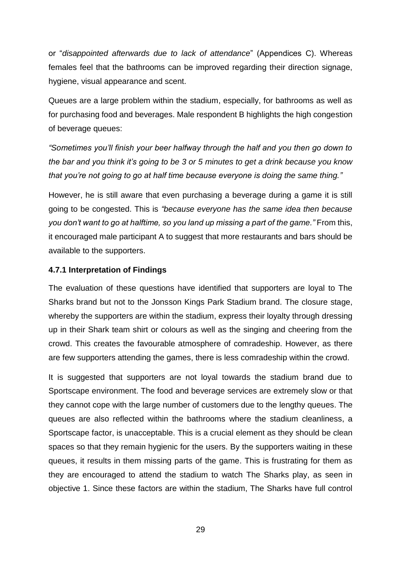or "*disappointed afterwards due to lack of attendance*" (Appendices C). Whereas females feel that the bathrooms can be improved regarding their direction signage, hygiene, visual appearance and scent.

Queues are a large problem within the stadium, especially, for bathrooms as well as for purchasing food and beverages. Male respondent B highlights the high congestion of beverage queues:

*"Sometimes you'll finish your beer halfway through the half and you then go down to the bar and you think it's going to be 3 or 5 minutes to get a drink because you know that you're not going to go at half time because everyone is doing the same thing."*

However, he is still aware that even purchasing a beverage during a game it is still going to be congested. This is *"because everyone has the same idea then because you don't want to go at halftime, so you land up missing a part of the game."* From this, it encouraged male participant A to suggest that more restaurants and bars should be available to the supporters.

#### <span id="page-28-0"></span>**4.7.1 Interpretation of Findings**

The evaluation of these questions have identified that supporters are loyal to The Sharks brand but not to the Jonsson Kings Park Stadium brand. The closure stage, whereby the supporters are within the stadium, express their loyalty through dressing up in their Shark team shirt or colours as well as the singing and cheering from the crowd. This creates the favourable atmosphere of comradeship. However, as there are few supporters attending the games, there is less comradeship within the crowd.

It is suggested that supporters are not loyal towards the stadium brand due to Sportscape environment. The food and beverage services are extremely slow or that they cannot cope with the large number of customers due to the lengthy queues. The queues are also reflected within the bathrooms where the stadium cleanliness, a Sportscape factor, is unacceptable. This is a crucial element as they should be clean spaces so that they remain hygienic for the users. By the supporters waiting in these queues, it results in them missing parts of the game. This is frustrating for them as they are encouraged to attend the stadium to watch The Sharks play, as seen in objective 1. Since these factors are within the stadium, The Sharks have full control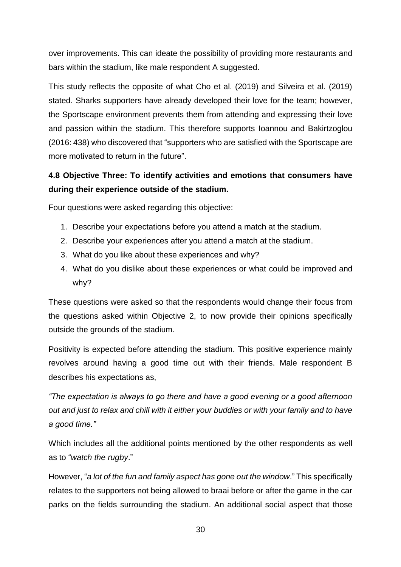over improvements. This can ideate the possibility of providing more restaurants and bars within the stadium, like male respondent A suggested.

This study reflects the opposite of what Cho et al. (2019) and Silveira et al. (2019) stated. Sharks supporters have already developed their love for the team; however, the Sportscape environment prevents them from attending and expressing their love and passion within the stadium. This therefore supports Ioannou and Bakirtzoglou (2016: 438) who discovered that "supporters who are satisfied with the Sportscape are more motivated to return in the future".

# <span id="page-29-0"></span>**4.8 Objective Three: To identify activities and emotions that consumers have during their experience outside of the stadium.**

Four questions were asked regarding this objective:

- 1. Describe your expectations before you attend a match at the stadium.
- 2. Describe your experiences after you attend a match at the stadium.
- 3. What do you like about these experiences and why?
- 4. What do you dislike about these experiences or what could be improved and why?

These questions were asked so that the respondents would change their focus from the questions asked within Objective 2, to now provide their opinions specifically outside the grounds of the stadium.

Positivity is expected before attending the stadium. This positive experience mainly revolves around having a good time out with their friends. Male respondent B describes his expectations as,

*"The expectation is always to go there and have a good evening or a good afternoon out and just to relax and chill with it either your buddies or with your family and to have a good time."* 

Which includes all the additional points mentioned by the other respondents as well as to "*watch the rugby*."

However, "*a lot of the fun and family aspect has gone out the window*." This specifically relates to the supporters not being allowed to braai before or after the game in the car parks on the fields surrounding the stadium. An additional social aspect that those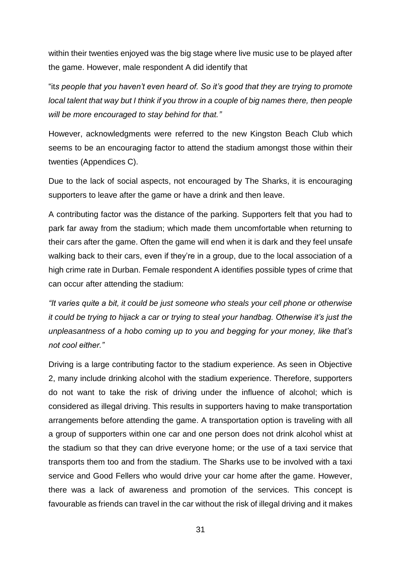within their twenties enjoyed was the big stage where live music use to be played after the game. However, male respondent A did identify that

"it*s people that you haven't even heard of. So it's good that they are trying to promote local talent that way but I think if you throw in a couple of big names there, then people will be more encouraged to stay behind for that."*

However, acknowledgments were referred to the new Kingston Beach Club which seems to be an encouraging factor to attend the stadium amongst those within their twenties (Appendices C).

Due to the lack of social aspects, not encouraged by The Sharks, it is encouraging supporters to leave after the game or have a drink and then leave.

A contributing factor was the distance of the parking. Supporters felt that you had to park far away from the stadium; which made them uncomfortable when returning to their cars after the game. Often the game will end when it is dark and they feel unsafe walking back to their cars, even if they're in a group, due to the local association of a high crime rate in Durban. Female respondent A identifies possible types of crime that can occur after attending the stadium:

*"It varies quite a bit, it could be just someone who steals your cell phone or otherwise it could be trying to hijack a car or trying to steal your handbag. Otherwise it's just the unpleasantness of a hobo coming up to you and begging for your money, like that's not cool either."*

Driving is a large contributing factor to the stadium experience. As seen in Objective 2, many include drinking alcohol with the stadium experience. Therefore, supporters do not want to take the risk of driving under the influence of alcohol; which is considered as illegal driving. This results in supporters having to make transportation arrangements before attending the game. A transportation option is traveling with all a group of supporters within one car and one person does not drink alcohol whist at the stadium so that they can drive everyone home; or the use of a taxi service that transports them too and from the stadium. The Sharks use to be involved with a taxi service and Good Fellers who would drive your car home after the game. However, there was a lack of awareness and promotion of the services. This concept is favourable as friends can travel in the car without the risk of illegal driving and it makes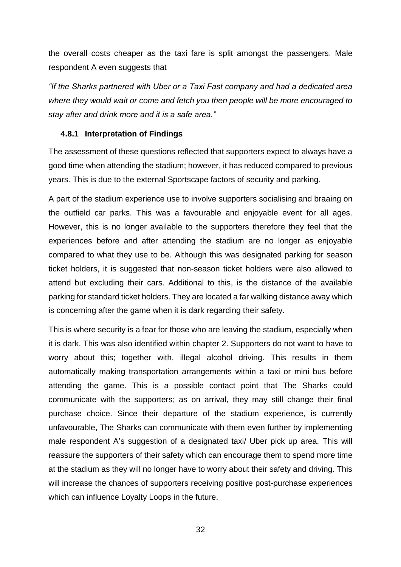the overall costs cheaper as the taxi fare is split amongst the passengers. Male respondent A even suggests that

*"If the Sharks partnered with Uber or a Taxi Fast company and had a dedicated area where they would wait or come and fetch you then people will be more encouraged to stay after and drink more and it is a safe area."* 

# <span id="page-31-0"></span>**4.8.1 Interpretation of Findings**

The assessment of these questions reflected that supporters expect to always have a good time when attending the stadium; however, it has reduced compared to previous years. This is due to the external Sportscape factors of security and parking.

A part of the stadium experience use to involve supporters socialising and braaing on the outfield car parks. This was a favourable and enjoyable event for all ages. However, this is no longer available to the supporters therefore they feel that the experiences before and after attending the stadium are no longer as enjoyable compared to what they use to be. Although this was designated parking for season ticket holders, it is suggested that non-season ticket holders were also allowed to attend but excluding their cars. Additional to this, is the distance of the available parking for standard ticket holders. They are located a far walking distance away which is concerning after the game when it is dark regarding their safety.

This is where security is a fear for those who are leaving the stadium, especially when it is dark. This was also identified within chapter 2. Supporters do not want to have to worry about this; together with, illegal alcohol driving. This results in them automatically making transportation arrangements within a taxi or mini bus before attending the game. This is a possible contact point that The Sharks could communicate with the supporters; as on arrival, they may still change their final purchase choice. Since their departure of the stadium experience, is currently unfavourable, The Sharks can communicate with them even further by implementing male respondent A's suggestion of a designated taxi/ Uber pick up area. This will reassure the supporters of their safety which can encourage them to spend more time at the stadium as they will no longer have to worry about their safety and driving. This will increase the chances of supporters receiving positive post-purchase experiences which can influence Loyalty Loops in the future.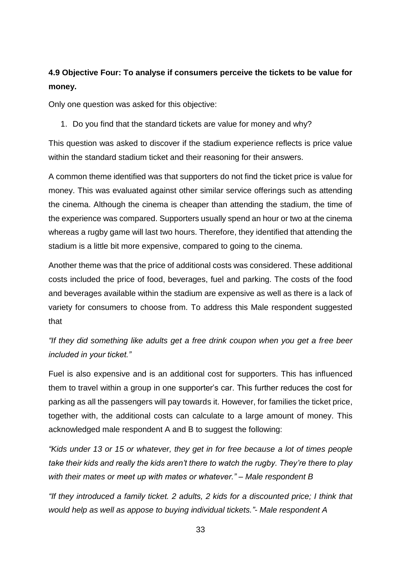# <span id="page-32-0"></span>**4.9 Objective Four: To analyse if consumers perceive the tickets to be value for money.**

Only one question was asked for this objective:

1. Do you find that the standard tickets are value for money and why?

This question was asked to discover if the stadium experience reflects is price value within the standard stadium ticket and their reasoning for their answers.

A common theme identified was that supporters do not find the ticket price is value for money. This was evaluated against other similar service offerings such as attending the cinema. Although the cinema is cheaper than attending the stadium, the time of the experience was compared. Supporters usually spend an hour or two at the cinema whereas a rugby game will last two hours. Therefore, they identified that attending the stadium is a little bit more expensive, compared to going to the cinema.

Another theme was that the price of additional costs was considered. These additional costs included the price of food, beverages, fuel and parking. The costs of the food and beverages available within the stadium are expensive as well as there is a lack of variety for consumers to choose from. To address this Male respondent suggested that

*"If they did something like adults get a free drink coupon when you get a free beer included in your ticket."* 

Fuel is also expensive and is an additional cost for supporters. This has influenced them to travel within a group in one supporter's car. This further reduces the cost for parking as all the passengers will pay towards it. However, for families the ticket price, together with, the additional costs can calculate to a large amount of money. This acknowledged male respondent A and B to suggest the following:

*"Kids under 13 or 15 or whatever, they get in for free because a lot of times people take their kids and really the kids aren't there to watch the rugby. They're there to play with their mates or meet up with mates or whatever." – Male respondent B*

*"If they introduced a family ticket. 2 adults, 2 kids for a discounted price; I think that would help as well as appose to buying individual tickets."- Male respondent A*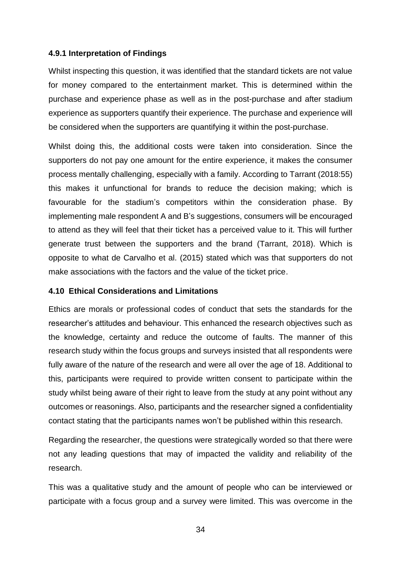#### <span id="page-33-0"></span>**4.9.1 Interpretation of Findings**

Whilst inspecting this question, it was identified that the standard tickets are not value for money compared to the entertainment market. This is determined within the purchase and experience phase as well as in the post-purchase and after stadium experience as supporters quantify their experience. The purchase and experience will be considered when the supporters are quantifying it within the post-purchase.

Whilst doing this, the additional costs were taken into consideration. Since the supporters do not pay one amount for the entire experience, it makes the consumer process mentally challenging, especially with a family. According to Tarrant (2018:55) this makes it unfunctional for brands to reduce the decision making; which is favourable for the stadium's competitors within the consideration phase. By implementing male respondent A and B's suggestions, consumers will be encouraged to attend as they will feel that their ticket has a perceived value to it. This will further generate trust between the supporters and the brand (Tarrant, 2018). Which is opposite to what de Carvalho et al. (2015) stated which was that supporters do not make associations with the factors and the value of the ticket price.

#### <span id="page-33-1"></span>**4.10 Ethical Considerations and Limitations**

Ethics are morals or professional codes of conduct that sets the standards for the researcher's attitudes and behaviour. This enhanced the research objectives such as the knowledge, certainty and reduce the outcome of faults. The manner of this research study within the focus groups and surveys insisted that all respondents were fully aware of the nature of the research and were all over the age of 18. Additional to this, participants were required to provide written consent to participate within the study whilst being aware of their right to leave from the study at any point without any outcomes or reasonings. Also, participants and the researcher signed a confidentiality contact stating that the participants names won't be published within this research.

Regarding the researcher, the questions were strategically worded so that there were not any leading questions that may of impacted the validity and reliability of the research.

This was a qualitative study and the amount of people who can be interviewed or participate with a focus group and a survey were limited. This was overcome in the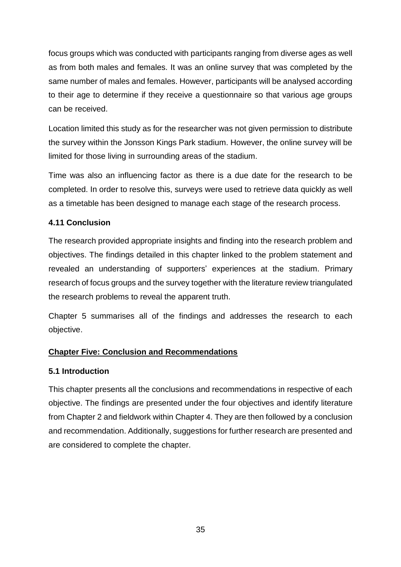focus groups which was conducted with participants ranging from diverse ages as well as from both males and females. It was an online survey that was completed by the same number of males and females. However, participants will be analysed according to their age to determine if they receive a questionnaire so that various age groups can be received.

Location limited this study as for the researcher was not given permission to distribute the survey within the Jonsson Kings Park stadium. However, the online survey will be limited for those living in surrounding areas of the stadium.

Time was also an influencing factor as there is a due date for the research to be completed. In order to resolve this, surveys were used to retrieve data quickly as well as a timetable has been designed to manage each stage of the research process.

# <span id="page-34-0"></span>**4.11 Conclusion**

The research provided appropriate insights and finding into the research problem and objectives. The findings detailed in this chapter linked to the problem statement and revealed an understanding of supporters' experiences at the stadium. Primary research of focus groups and the survey together with the literature review triangulated the research problems to reveal the apparent truth.

Chapter 5 summarises all of the findings and addresses the research to each objective.

# <span id="page-34-1"></span>**Chapter Five: Conclusion and Recommendations**

# <span id="page-34-2"></span>**5.1 Introduction**

This chapter presents all the conclusions and recommendations in respective of each objective. The findings are presented under the four objectives and identify literature from Chapter 2 and fieldwork within Chapter 4. They are then followed by a conclusion and recommendation. Additionally, suggestions for further research are presented and are considered to complete the chapter.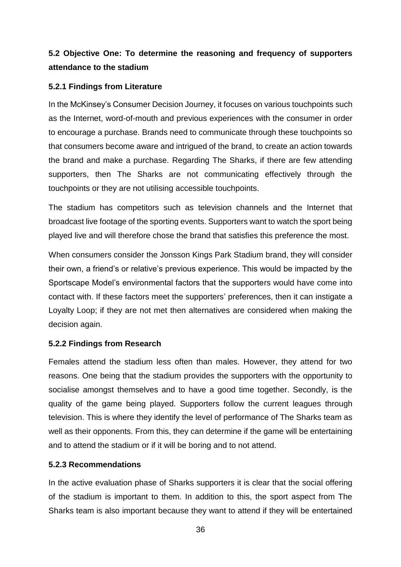# <span id="page-35-0"></span>**5.2 Objective One: To determine the reasoning and frequency of supporters attendance to the stadium**

### <span id="page-35-1"></span>**5.2.1 Findings from Literature**

In the McKinsey's Consumer Decision Journey, it focuses on various touchpoints such as the Internet, word-of-mouth and previous experiences with the consumer in order to encourage a purchase. Brands need to communicate through these touchpoints so that consumers become aware and intrigued of the brand, to create an action towards the brand and make a purchase. Regarding The Sharks, if there are few attending supporters, then The Sharks are not communicating effectively through the touchpoints or they are not utilising accessible touchpoints.

The stadium has competitors such as television channels and the Internet that broadcast live footage of the sporting events. Supporters want to watch the sport being played live and will therefore chose the brand that satisfies this preference the most.

When consumers consider the Jonsson Kings Park Stadium brand, they will consider their own, a friend's or relative's previous experience. This would be impacted by the Sportscape Model's environmental factors that the supporters would have come into contact with. If these factors meet the supporters' preferences, then it can instigate a Loyalty Loop; if they are not met then alternatives are considered when making the decision again.

#### <span id="page-35-2"></span>**5.2.2 Findings from Research**

Females attend the stadium less often than males. However, they attend for two reasons. One being that the stadium provides the supporters with the opportunity to socialise amongst themselves and to have a good time together. Secondly, is the quality of the game being played. Supporters follow the current leagues through television. This is where they identify the level of performance of The Sharks team as well as their opponents. From this, they can determine if the game will be entertaining and to attend the stadium or if it will be boring and to not attend.

# <span id="page-35-3"></span>**5.2.3 Recommendations**

In the active evaluation phase of Sharks supporters it is clear that the social offering of the stadium is important to them. In addition to this, the sport aspect from The Sharks team is also important because they want to attend if they will be entertained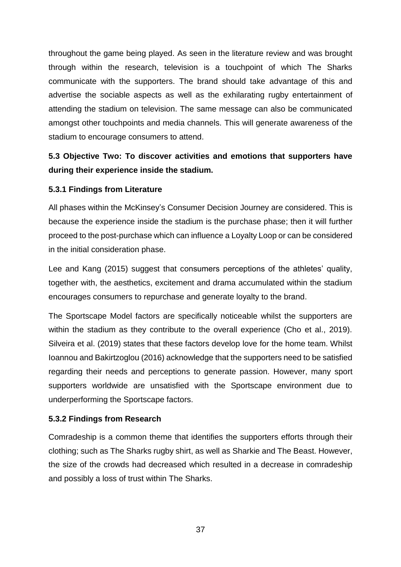throughout the game being played. As seen in the literature review and was brought through within the research, television is a touchpoint of which The Sharks communicate with the supporters. The brand should take advantage of this and advertise the sociable aspects as well as the exhilarating rugby entertainment of attending the stadium on television. The same message can also be communicated amongst other touchpoints and media channels. This will generate awareness of the stadium to encourage consumers to attend.

**5.3 Objective Two: To discover activities and emotions that supporters have during their experience inside the stadium.**

## **5.3.1 Findings from Literature**

All phases within the McKinsey's Consumer Decision Journey are considered. This is because the experience inside the stadium is the purchase phase; then it will further proceed to the post-purchase which can influence a Loyalty Loop or can be considered in the initial consideration phase.

Lee and Kang (2015) suggest that consumers perceptions of the athletes' quality, together with, the aesthetics, excitement and drama accumulated within the stadium encourages consumers to repurchase and generate loyalty to the brand.

The Sportscape Model factors are specifically noticeable whilst the supporters are within the stadium as they contribute to the overall experience (Cho et al., 2019). Silveira et al. (2019) states that these factors develop love for the home team. Whilst Ioannou and Bakirtzoglou (2016) acknowledge that the supporters need to be satisfied regarding their needs and perceptions to generate passion. However, many sport supporters worldwide are unsatisfied with the Sportscape environment due to underperforming the Sportscape factors.

## **5.3.2 Findings from Research**

Comradeship is a common theme that identifies the supporters efforts through their clothing; such as The Sharks rugby shirt, as well as Sharkie and The Beast. However, the size of the crowds had decreased which resulted in a decrease in comradeship and possibly a loss of trust within The Sharks.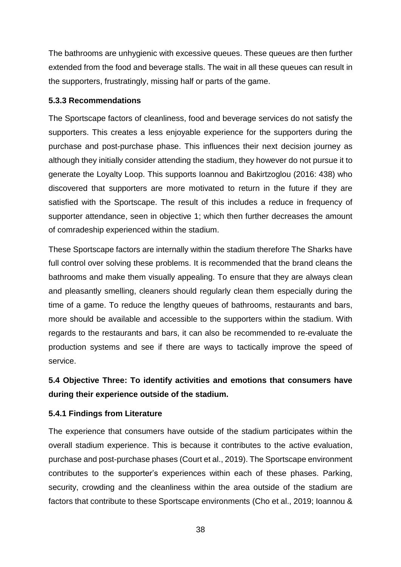The bathrooms are unhygienic with excessive queues. These queues are then further extended from the food and beverage stalls. The wait in all these queues can result in the supporters, frustratingly, missing half or parts of the game.

### **5.3.3 Recommendations**

The Sportscape factors of cleanliness, food and beverage services do not satisfy the supporters. This creates a less enjoyable experience for the supporters during the purchase and post-purchase phase. This influences their next decision journey as although they initially consider attending the stadium, they however do not pursue it to generate the Loyalty Loop. This supports Ioannou and Bakirtzoglou (2016: 438) who discovered that supporters are more motivated to return in the future if they are satisfied with the Sportscape. The result of this includes a reduce in frequency of supporter attendance, seen in objective 1; which then further decreases the amount of comradeship experienced within the stadium.

These Sportscape factors are internally within the stadium therefore The Sharks have full control over solving these problems. It is recommended that the brand cleans the bathrooms and make them visually appealing. To ensure that they are always clean and pleasantly smelling, cleaners should regularly clean them especially during the time of a game. To reduce the lengthy queues of bathrooms, restaurants and bars, more should be available and accessible to the supporters within the stadium. With regards to the restaurants and bars, it can also be recommended to re-evaluate the production systems and see if there are ways to tactically improve the speed of service.

# **5.4 Objective Three: To identify activities and emotions that consumers have during their experience outside of the stadium.**

## **5.4.1 Findings from Literature**

The experience that consumers have outside of the stadium participates within the overall stadium experience. This is because it contributes to the active evaluation, purchase and post-purchase phases (Court et al., 2019). The Sportscape environment contributes to the supporter's experiences within each of these phases. Parking, security, crowding and the cleanliness within the area outside of the stadium are factors that contribute to these Sportscape environments (Cho et al., 2019; Ioannou &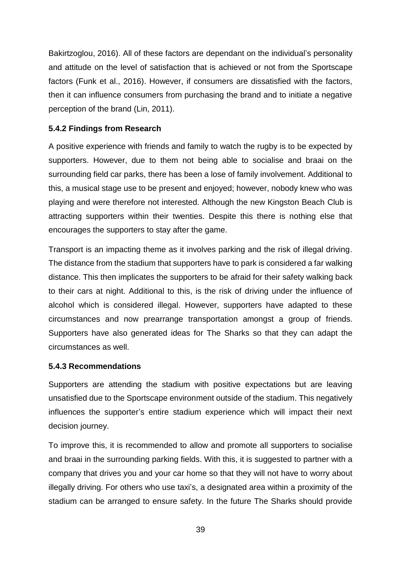Bakirtzoglou, 2016). All of these factors are dependant on the individual's personality and attitude on the level of satisfaction that is achieved or not from the Sportscape factors (Funk et al., 2016). However, if consumers are dissatisfied with the factors, then it can influence consumers from purchasing the brand and to initiate a negative perception of the brand (Lin, 2011).

## **5.4.2 Findings from Research**

A positive experience with friends and family to watch the rugby is to be expected by supporters. However, due to them not being able to socialise and braai on the surrounding field car parks, there has been a lose of family involvement. Additional to this, a musical stage use to be present and enjoyed; however, nobody knew who was playing and were therefore not interested. Although the new Kingston Beach Club is attracting supporters within their twenties. Despite this there is nothing else that encourages the supporters to stay after the game.

Transport is an impacting theme as it involves parking and the risk of illegal driving. The distance from the stadium that supporters have to park is considered a far walking distance. This then implicates the supporters to be afraid for their safety walking back to their cars at night. Additional to this, is the risk of driving under the influence of alcohol which is considered illegal. However, supporters have adapted to these circumstances and now prearrange transportation amongst a group of friends. Supporters have also generated ideas for The Sharks so that they can adapt the circumstances as well.

## **5.4.3 Recommendations**

Supporters are attending the stadium with positive expectations but are leaving unsatisfied due to the Sportscape environment outside of the stadium. This negatively influences the supporter's entire stadium experience which will impact their next decision journey.

To improve this, it is recommended to allow and promote all supporters to socialise and braai in the surrounding parking fields. With this, it is suggested to partner with a company that drives you and your car home so that they will not have to worry about illegally driving. For others who use taxi's, a designated area within a proximity of the stadium can be arranged to ensure safety. In the future The Sharks should provide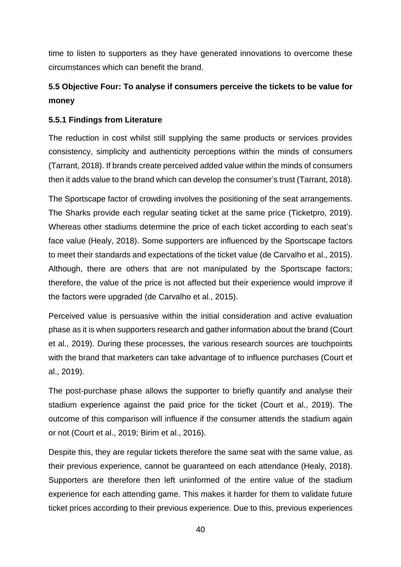time to listen to supporters as they have generated innovations to overcome these circumstances which can benefit the brand.

# **5.5 Objective Four: To analyse if consumers perceive the tickets to be value for money**

## **5.5.1 Findings from Literature**

The reduction in cost whilst still supplying the same products or services provides consistency, simplicity and authenticity perceptions within the minds of consumers (Tarrant, 2018). If brands create perceived added value within the minds of consumers then it adds value to the brand which can develop the consumer's trust (Tarrant, 2018).

The Sportscape factor of crowding involves the positioning of the seat arrangements. The Sharks provide each regular seating ticket at the same price (Ticketpro, 2019). Whereas other stadiums determine the price of each ticket according to each seat's face value (Healy, 2018). Some supporters are influenced by the Sportscape factors to meet their standards and expectations of the ticket value (de Carvalho et al., 2015). Although, there are others that are not manipulated by the Sportscape factors; therefore, the value of the price is not affected but their experience would improve if the factors were upgraded (de Carvalho et al., 2015).

Perceived value is persuasive within the initial consideration and active evaluation phase as it is when supporters research and gather information about the brand (Court et al., 2019). During these processes, the various research sources are touchpoints with the brand that marketers can take advantage of to influence purchases (Court et al., 2019).

The post-purchase phase allows the supporter to briefly quantify and analyse their stadium experience against the paid price for the ticket (Court et al., 2019). The outcome of this comparison will influence if the consumer attends the stadium again or not (Court et al., 2019; Birim et al., 2016).

Despite this, they are regular tickets therefore the same seat with the same value, as their previous experience, cannot be guaranteed on each attendance (Healy, 2018). Supporters are therefore then left uninformed of the entire value of the stadium experience for each attending game. This makes it harder for them to validate future ticket prices according to their previous experience. Due to this, previous experiences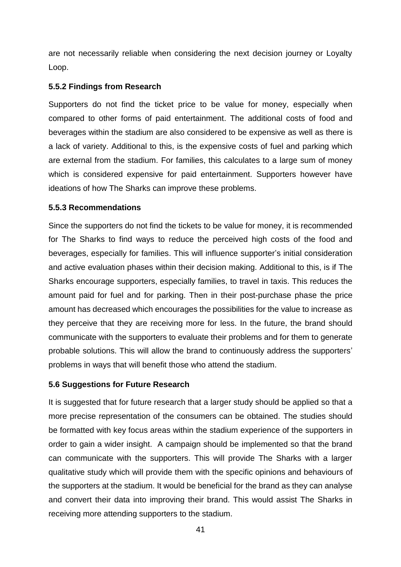are not necessarily reliable when considering the next decision journey or Loyalty Loop.

#### **5.5.2 Findings from Research**

Supporters do not find the ticket price to be value for money, especially when compared to other forms of paid entertainment. The additional costs of food and beverages within the stadium are also considered to be expensive as well as there is a lack of variety. Additional to this, is the expensive costs of fuel and parking which are external from the stadium. For families, this calculates to a large sum of money which is considered expensive for paid entertainment. Supporters however have ideations of how The Sharks can improve these problems.

#### **5.5.3 Recommendations**

Since the supporters do not find the tickets to be value for money, it is recommended for The Sharks to find ways to reduce the perceived high costs of the food and beverages, especially for families. This will influence supporter's initial consideration and active evaluation phases within their decision making. Additional to this, is if The Sharks encourage supporters, especially families, to travel in taxis. This reduces the amount paid for fuel and for parking. Then in their post-purchase phase the price amount has decreased which encourages the possibilities for the value to increase as they perceive that they are receiving more for less. In the future, the brand should communicate with the supporters to evaluate their problems and for them to generate probable solutions. This will allow the brand to continuously address the supporters' problems in ways that will benefit those who attend the stadium.

### **5.6 Suggestions for Future Research**

It is suggested that for future research that a larger study should be applied so that a more precise representation of the consumers can be obtained. The studies should be formatted with key focus areas within the stadium experience of the supporters in order to gain a wider insight. A campaign should be implemented so that the brand can communicate with the supporters. This will provide The Sharks with a larger qualitative study which will provide them with the specific opinions and behaviours of the supporters at the stadium. It would be beneficial for the brand as they can analyse and convert their data into improving their brand. This would assist The Sharks in receiving more attending supporters to the stadium.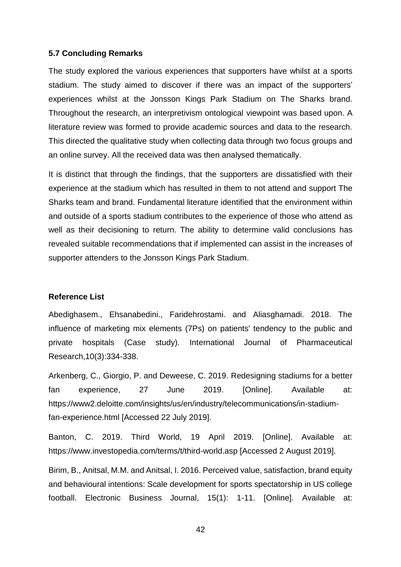#### **5.7 Concluding Remarks**

The study explored the various experiences that supporters have whilst at a sports stadium. The study aimed to discover if there was an impact of the supporters' experiences whilst at the Jonsson Kings Park Stadium on The Sharks brand. Throughout the research, an interpretivism ontological viewpoint was based upon. A literature review was formed to provide academic sources and data to the research. This directed the qualitative study when collecting data through two focus groups and an online survey. All the received data was then analysed thematically.

It is distinct that through the findings, that the supporters are dissatisfied with their experience at the stadium which has resulted in them to not attend and support The Sharks team and brand. Fundamental literature identified that the environment within and outside of a sports stadium contributes to the experience of those who attend as well as their decisioning to return. The ability to determine valid conclusions has revealed suitable recommendations that if implemented can assist in the increases of supporter attenders to the Jonsson Kings Park Stadium.

#### **Reference List**

Abedighasem., Ehsanabedini., Faridehrostami. and Aliasgharnadi. 2018. The influence of marketing mix elements (7Ps) on patients' tendency to the public and private hospitals (Case study). International Journal of Pharmaceutical Research,10(3):334-338.

Arkenberg, C., Giorgio, P. and Deweese, C. 2019. Redesigning stadiums for a better fan experience, 27 June 2019. [Online]. Available at: https://www2.deloitte.com/insights/us/en/industry/telecommunications/in-stadiumfan-experience.html [Accessed 22 July 2019].

Banton, C. 2019. Third World, 19 April 2019. [Online]. Available at: https://www.investopedia.com/terms/t/third-world.asp [Accessed 2 August 2019].

Birim, B., Anitsal, M.M. and Anitsal, I. 2016. Perceived value, satisfaction, brand equity and behavioural intentions: Scale development for sports spectatorship in US college football. Electronic Business Journal, 15(1): 1-11. [Online]. Available at: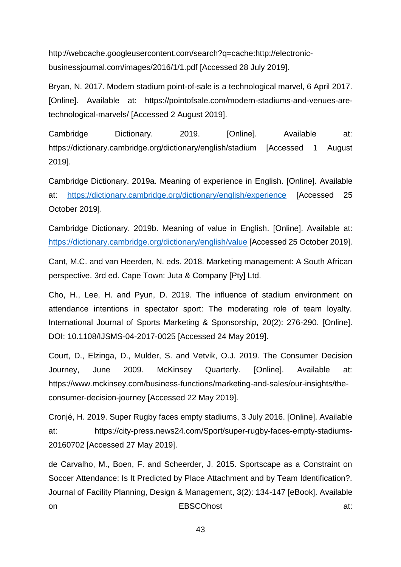http://webcache.googleusercontent.com/search?q=cache:http://electronicbusinessjournal.com/images/2016/1/1.pdf [Accessed 28 July 2019].

Bryan, N. 2017. Modern stadium point-of-sale is a technological marvel, 6 April 2017. [Online]. Available at: https://pointofsale.com/modern-stadiums-and-venues-aretechnological-marvels/ [Accessed 2 August 2019].

Cambridge Dictionary. 2019. [Online]. Available at: https://dictionary.cambridge.org/dictionary/english/stadium [Accessed 1 August] 2019].

Cambridge Dictionary. 2019a. Meaning of experience in English. [Online]. Available at: <https://dictionary.cambridge.org/dictionary/english/experience> [Accessed 25 October 2019].

Cambridge Dictionary. 2019b. Meaning of value in English. [Online]. Available at: <https://dictionary.cambridge.org/dictionary/english/value> [Accessed 25 October 2019].

Cant, M.C. and van Heerden, N. eds. 2018. Marketing management: A South African perspective. 3rd ed. Cape Town: Juta & Company [Pty] Ltd.

Cho, H., Lee, H. and Pyun, D. 2019. The influence of stadium environment on attendance intentions in spectator sport: The moderating role of team loyalty. International Journal of Sports Marketing & Sponsorship, 20(2): 276-290. [Online]. DOI: 10.1108/IJSMS-04-2017-0025 [Accessed 24 May 2019].

Court, D., Elzinga, D., Mulder, S. and Vetvik, O.J. 2019. The Consumer Decision Journey, June 2009. McKinsey Quarterly. [Online]. Available at: https://www.mckinsey.com/business-functions/marketing-and-sales/our-insights/theconsumer-decision-journey [Accessed 22 May 2019].

Cronjé, H. 2019. Super Rugby faces empty stadiums, 3 July 2016. [Online]. Available at: https://city-press.news24.com/Sport/super-rugby-faces-empty-stadiums-20160702 [Accessed 27 May 2019].

de Carvalho, M., Boen, F. and Scheerder, J. 2015. Sportscape as a Constraint on Soccer Attendance: Is It Predicted by Place Attachment and by Team Identification?. Journal of Facility Planning, Design & Management, 3(2): 134-147 [eBook]. Available on **EBSCOhost** at: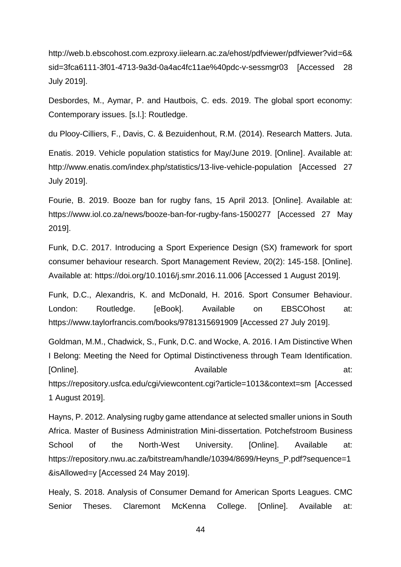http://web.b.ebscohost.com.ezproxy.iielearn.ac.za/ehost/pdfviewer/pdfviewer?vid=6& sid=3fca6111-3f01-4713-9a3d-0a4ac4fc11ae%40pdc-v-sessmgr03 [Accessed 28 July 2019].

Desbordes, M., Aymar, P. and Hautbois, C. eds. 2019. The global sport economy: Contemporary issues. [s.l.]: Routledge.

du Plooy-Cilliers, F., Davis, C. & Bezuidenhout, R.M. (2014). Research Matters. Juta.

Enatis. 2019. Vehicle population statistics for May/June 2019. [Online]. Available at: http://www.enatis.com/index.php/statistics/13-live-vehicle-population [Accessed 27 July 2019].

Fourie, B. 2019. Booze ban for rugby fans, 15 April 2013. [Online]. Available at: https://www.iol.co.za/news/booze-ban-for-rugby-fans-1500277 [Accessed 27 May 2019].

Funk, D.C. 2017. Introducing a Sport Experience Design (SX) framework for sport consumer behaviour research. Sport Management Review, 20(2): 145-158. [Online]. Available at: https://doi.org/10.1016/j.smr.2016.11.006 [Accessed 1 August 2019].

Funk, D.C., Alexandris, K. and McDonald, H. 2016. Sport Consumer Behaviour. London: Routledge. [eBook]. Available on EBSCOhost at: https://www.taylorfrancis.com/books/9781315691909 [Accessed 27 July 2019].

Goldman, M.M., Chadwick, S., Funk, D.C. and Wocke, A. 2016. I Am Distinctive When I Belong: Meeting the Need for Optimal Distinctiveness through Team Identification. [Online]. Available at: https://repository.usfca.edu/cgi/viewcontent.cgi?article=1013&context=sm [Accessed 1 August 2019].

Hayns, P. 2012. Analysing rugby game attendance at selected smaller unions in South Africa. Master of Business Administration Mini-dissertation. Potchefstroom Business School of the North-West University. [Online]. Available at: https://repository.nwu.ac.za/bitstream/handle/10394/8699/Heyns\_P.pdf?sequence=1 &isAllowed=y [Accessed 24 May 2019].

Healy, S. 2018. Analysis of Consumer Demand for American Sports Leagues. CMC Senior Theses. Claremont McKenna College. [Online]. Available at: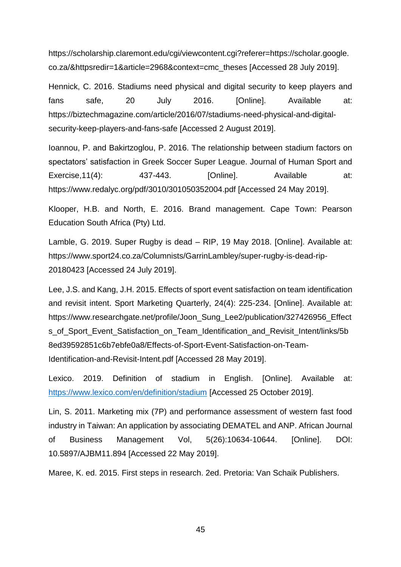https://scholarship.claremont.edu/cgi/viewcontent.cgi?referer=https://scholar.google. co.za/&httpsredir=1&article=2968&context=cmc\_theses [Accessed 28 July 2019].

Hennick, C. 2016. Stadiums need physical and digital security to keep players and fans safe, 20 July 2016. [Online]. Available at: https://biztechmagazine.com/article/2016/07/stadiums-need-physical-and-digitalsecurity-keep-players-and-fans-safe [Accessed 2 August 2019].

Ioannou, P. and Bakirtzoglou, P. 2016. The relationship between stadium factors on spectators' satisfaction in Greek Soccer Super League. Journal of Human Sport and Exercise,11(4): 437-443. [Online]. Available at: https://www.redalyc.org/pdf/3010/301050352004.pdf [Accessed 24 May 2019].

Klooper, H.B. and North, E. 2016. Brand management. Cape Town: Pearson Education South Africa (Pty) Ltd.

Lamble, G. 2019. Super Rugby is dead – RIP, 19 May 2018. [Online]. Available at: https://www.sport24.co.za/Columnists/GarrinLambley/super-rugby-is-dead-rip-20180423 [Accessed 24 July 2019].

Lee, J.S. and Kang, J.H. 2015. Effects of sport event satisfaction on team identification and revisit intent. Sport Marketing Quarterly, 24(4): 225-234. [Online]. Available at: https://www.researchgate.net/profile/Joon\_Sung\_Lee2/publication/327426956\_Effect s of Sport Event Satisfaction on Team Identification and Revisit Intent/links/5b 8ed39592851c6b7ebfe0a8/Effects-of-Sport-Event-Satisfaction-on-Team-Identification-and-Revisit-Intent.pdf [Accessed 28 May 2019].

Lexico. 2019. Definition of stadium in English. [Online]. Available at: <https://www.lexico.com/en/definition/stadium> [Accessed 25 October 2019].

Lin, S. 2011. Marketing mix (7P) and performance assessment of western fast food industry in Taiwan: An application by associating DEMATEL and ANP. African Journal of Business Management Vol, 5(26):10634-10644. [Online]. DOI: 10.5897/AJBM11.894 [Accessed 22 May 2019].

Maree, K. ed. 2015. First steps in research. 2ed. Pretoria: Van Schaik Publishers.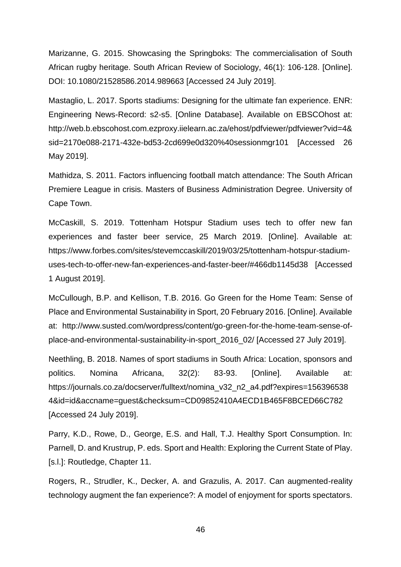Marizanne, G. 2015. Showcasing the Springboks: The commercialisation of South African rugby heritage. South African Review of Sociology, 46(1): 106-128. [Online]. DOI: 10.1080/21528586.2014.989663 [Accessed 24 July 2019].

Mastaglio, L. 2017. Sports stadiums: Designing for the ultimate fan experience. ENR: Engineering News-Record: s2-s5. [Online Database]. Available on EBSCOhost at: http://web.b.ebscohost.com.ezproxy.iielearn.ac.za/ehost/pdfviewer/pdfviewer?vid=4& sid=2170e088-2171-432e-bd53-2cd699e0d320%40sessionmgr101 [Accessed 26 May 2019].

Mathidza, S. 2011. Factors influencing football match attendance: The South African Premiere League in crisis. Masters of Business Administration Degree. University of Cape Town.

McCaskill, S. 2019. Tottenham Hotspur Stadium uses tech to offer new fan experiences and faster beer service, 25 March 2019. [Online]. Available at: https://www.forbes.com/sites/stevemccaskill/2019/03/25/tottenham-hotspur-stadiumuses-tech-to-offer-new-fan-experiences-and-faster-beer/#466db1145d38 [Accessed 1 August 2019].

McCullough, B.P. and Kellison, T.B. 2016. Go Green for the Home Team: Sense of Place and Environmental Sustainability in Sport, 20 February 2016. [Online]. Available at: http://www.susted.com/wordpress/content/go-green-for-the-home-team-sense-ofplace-and-environmental-sustainability-in-sport\_2016\_02/ [Accessed 27 July 2019].

Neethling, B. 2018. Names of sport stadiums in South Africa: Location, sponsors and politics. Nomina Africana, 32(2): 83-93. [Online]. Available at: https://journals.co.za/docserver/fulltext/nomina\_v32\_n2\_a4.pdf?expires=156396538 4&id=id&accname=guest&checksum=CD09852410A4ECD1B465F8BCED66C782 [Accessed 24 July 2019].

Parry, K.D., Rowe, D., George, E.S. and Hall, T.J. Healthy Sport Consumption. In: Parnell, D. and Krustrup, P. eds. Sport and Health: Exploring the Current State of Play. [s.l.]: Routledge, Chapter 11.

Rogers, R., Strudler, K., Decker, A. and Grazulis, A. 2017. Can augmented-reality technology augment the fan experience?: A model of enjoyment for sports spectators.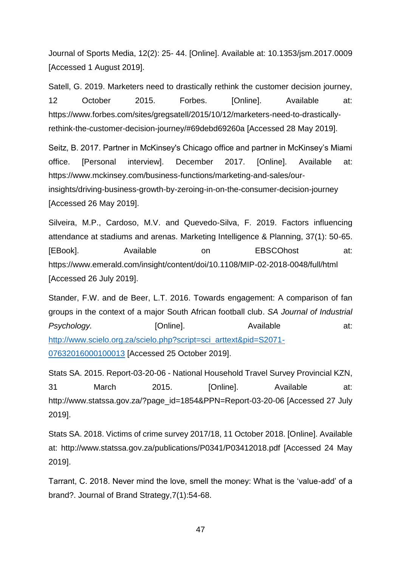Journal of Sports Media, 12(2): 25- 44. [Online]. Available at: 10.1353/jsm.2017.0009 [Accessed 1 August 2019].

Satell, G. 2019. Marketers need to drastically rethink the customer decision journey, 12 October 2015. Forbes. [Online]. Available at: https://www.forbes.com/sites/gregsatell/2015/10/12/marketers-need-to-drasticallyrethink-the-customer-decision-journey/#69debd69260a [Accessed 28 May 2019].

Seitz, B. 2017. Partner in McKinsey's Chicago office and partner in McKinsey's Miami office. [Personal interview]. December 2017. [Online]. Available at: https://www.mckinsey.com/business-functions/marketing-and-sales/ourinsights/driving-business-growth-by-zeroing-in-on-the-consumer-decision-journey [Accessed 26 May 2019].

Silveira, M.P., Cardoso, M.V. and Quevedo-Silva, F. 2019. Factors influencing attendance at stadiums and arenas. Marketing Intelligence & Planning, 37(1): 50-65. [EBook]. Available on EBSCOhost at: https://www.emerald.com/insight/content/doi/10.1108/MIP-02-2018-0048/full/html [Accessed 26 July 2019].

Stander, F.W. and de Beer, L.T. 2016. Towards engagement: A comparison of fan groups in the context of a major South African football club. *SA Journal of Industrial*  Psychology. **Example 10** [Online]. **Available at:** Available at: [http://www.scielo.org.za/scielo.php?script=sci\\_arttext&pid=S2071-](http://www.scielo.org.za/scielo.php?script=sci_arttext&pid=S2071-07632016000100013) [07632016000100013](http://www.scielo.org.za/scielo.php?script=sci_arttext&pid=S2071-07632016000100013) [Accessed 25 October 2019].

Stats SA. 2015. Report-03-20-06 - National Household Travel Survey Provincial KZN, 31 March 2015. [Online]. Available at: http://www.statssa.gov.za/?page\_id=1854&PPN=Report-03-20-06 [Accessed 27 July 2019].

Stats SA. 2018. Victims of crime survey 2017/18, 11 October 2018. [Online]. Available at: http://www.statssa.gov.za/publications/P0341/P03412018.pdf [Accessed 24 May 2019].

Tarrant, C. 2018. Never mind the love, smell the money: What is the 'value-add' of a brand?. Journal of Brand Strategy,7(1):54-68.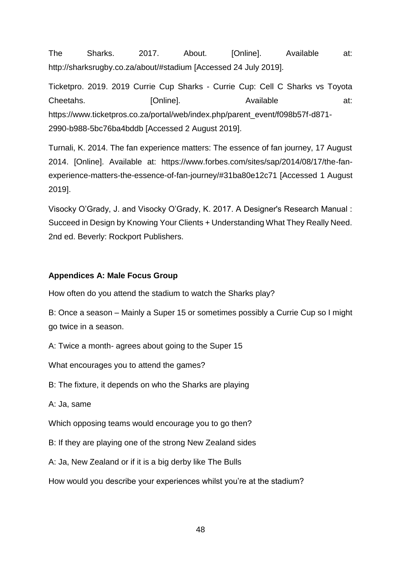The Sharks. 2017. About. [Online]. Available at: http://sharksrugby.co.za/about/#stadium [Accessed 24 July 2019].

Ticketpro. 2019. 2019 Currie Cup Sharks - Currie Cup: Cell C Sharks vs Toyota Cheetahs. [Online]. Available at: https://www.ticketpros.co.za/portal/web/index.php/parent\_event/f098b57f-d871-2990-b988-5bc76ba4bddb [Accessed 2 August 2019].

Turnali, K. 2014. The fan experience matters: The essence of fan journey, 17 August 2014. [Online]. Available at: https://www.forbes.com/sites/sap/2014/08/17/the-fanexperience-matters-the-essence-of-fan-journey/#31ba80e12c71 [Accessed 1 August 2019].

Visocky O'Grady, J. and Visocky O'Grady, K. 2017. A Designer's Research Manual : Succeed in Design by Knowing Your Clients + Understanding What They Really Need. 2nd ed. Beverly: Rockport Publishers.

## **Appendices A: Male Focus Group**

How often do you attend the stadium to watch the Sharks play?

B: Once a season – Mainly a Super 15 or sometimes possibly a Currie Cup so I might go twice in a season.

A: Twice a month- agrees about going to the Super 15

What encourages you to attend the games?

B: The fixture, it depends on who the Sharks are playing

A: Ja, same

Which opposing teams would encourage you to go then?

B: If they are playing one of the strong New Zealand sides

A: Ja, New Zealand or if it is a big derby like The Bulls

How would you describe your experiences whilst you're at the stadium?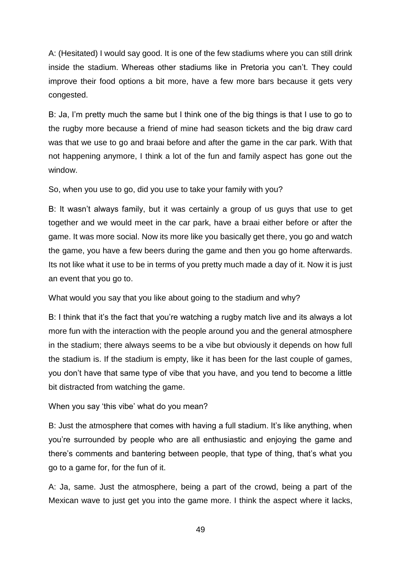A: (Hesitated) I would say good. It is one of the few stadiums where you can still drink inside the stadium. Whereas other stadiums like in Pretoria you can't. They could improve their food options a bit more, have a few more bars because it gets very congested.

B: Ja, I'm pretty much the same but I think one of the big things is that I use to go to the rugby more because a friend of mine had season tickets and the big draw card was that we use to go and braai before and after the game in the car park. With that not happening anymore, I think a lot of the fun and family aspect has gone out the window.

So, when you use to go, did you use to take your family with you?

B: It wasn't always family, but it was certainly a group of us guys that use to get together and we would meet in the car park, have a braai either before or after the game. It was more social. Now its more like you basically get there, you go and watch the game, you have a few beers during the game and then you go home afterwards. Its not like what it use to be in terms of you pretty much made a day of it. Now it is just an event that you go to.

What would you say that you like about going to the stadium and why?

B: I think that it's the fact that you're watching a rugby match live and its always a lot more fun with the interaction with the people around you and the general atmosphere in the stadium; there always seems to be a vibe but obviously it depends on how full the stadium is. If the stadium is empty, like it has been for the last couple of games, you don't have that same type of vibe that you have, and you tend to become a little bit distracted from watching the game.

When you say 'this vibe' what do you mean?

B: Just the atmosphere that comes with having a full stadium. It's like anything, when you're surrounded by people who are all enthusiastic and enjoying the game and there's comments and bantering between people, that type of thing, that's what you go to a game for, for the fun of it.

A: Ja, same. Just the atmosphere, being a part of the crowd, being a part of the Mexican wave to just get you into the game more. I think the aspect where it lacks,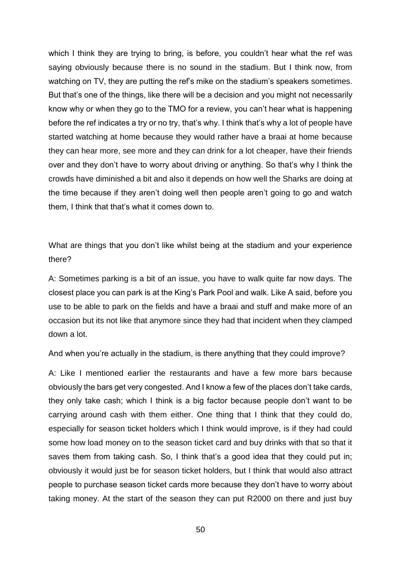which I think they are trying to bring, is before, you couldn't hear what the ref was saying obviously because there is no sound in the stadium. But I think now, from watching on TV, they are putting the ref's mike on the stadium's speakers sometimes. But that's one of the things, like there will be a decision and you might not necessarily know why or when they go to the TMO for a review, you can't hear what is happening before the ref indicates a try or no try, that's why. I think that's why a lot of people have started watching at home because they would rather have a braai at home because they can hear more, see more and they can drink for a lot cheaper, have their friends over and they don't have to worry about driving or anything. So that's why I think the crowds have diminished a bit and also it depends on how well the Sharks are doing at the time because if they aren't doing well then people aren't going to go and watch them, I think that that's what it comes down to.

What are things that you don't like whilst being at the stadium and your experience there?

A: Sometimes parking is a bit of an issue, you have to walk quite far now days. The closest place you can park is at the King's Park Pool and walk. Like A said, before you use to be able to park on the fields and have a braai and stuff and make more of an occasion but its not like that anymore since they had that incident when they clamped down a lot.

And when you're actually in the stadium, is there anything that they could improve?

A: Like I mentioned earlier the restaurants and have a few more bars because obviously the bars get very congested. And I know a few of the places don't take cards, they only take cash; which I think is a big factor because people don't want to be carrying around cash with them either. One thing that I think that they could do, especially for season ticket holders which I think would improve, is if they had could some how load money on to the season ticket card and buy drinks with that so that it saves them from taking cash. So, I think that's a good idea that they could put in; obviously it would just be for season ticket holders, but I think that would also attract people to purchase season ticket cards more because they don't have to worry about taking money. At the start of the season they can put R2000 on there and just buy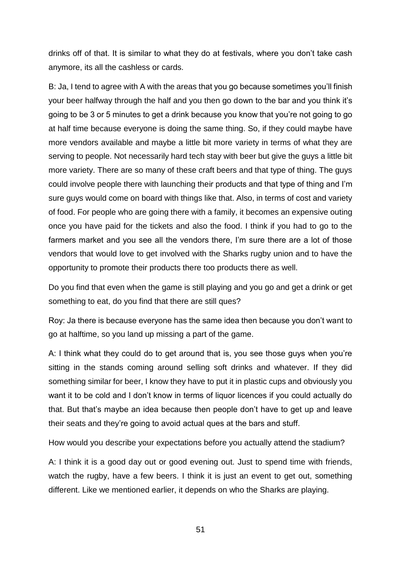drinks off of that. It is similar to what they do at festivals, where you don't take cash anymore, its all the cashless or cards.

B: Ja, I tend to agree with A with the areas that you go because sometimes you'll finish your beer halfway through the half and you then go down to the bar and you think it's going to be 3 or 5 minutes to get a drink because you know that you're not going to go at half time because everyone is doing the same thing. So, if they could maybe have more vendors available and maybe a little bit more variety in terms of what they are serving to people. Not necessarily hard tech stay with beer but give the guys a little bit more variety. There are so many of these craft beers and that type of thing. The guys could involve people there with launching their products and that type of thing and I'm sure guys would come on board with things like that. Also, in terms of cost and variety of food. For people who are going there with a family, it becomes an expensive outing once you have paid for the tickets and also the food. I think if you had to go to the farmers market and you see all the vendors there, I'm sure there are a lot of those vendors that would love to get involved with the Sharks rugby union and to have the opportunity to promote their products there too products there as well.

Do you find that even when the game is still playing and you go and get a drink or get something to eat, do you find that there are still ques?

Roy: Ja there is because everyone has the same idea then because you don't want to go at halftime, so you land up missing a part of the game.

A: I think what they could do to get around that is, you see those guys when you're sitting in the stands coming around selling soft drinks and whatever. If they did something similar for beer, I know they have to put it in plastic cups and obviously you want it to be cold and I don't know in terms of liquor licences if you could actually do that. But that's maybe an idea because then people don't have to get up and leave their seats and they're going to avoid actual ques at the bars and stuff.

How would you describe your expectations before you actually attend the stadium?

A: I think it is a good day out or good evening out. Just to spend time with friends, watch the rugby, have a few beers. I think it is just an event to get out, something different. Like we mentioned earlier, it depends on who the Sharks are playing.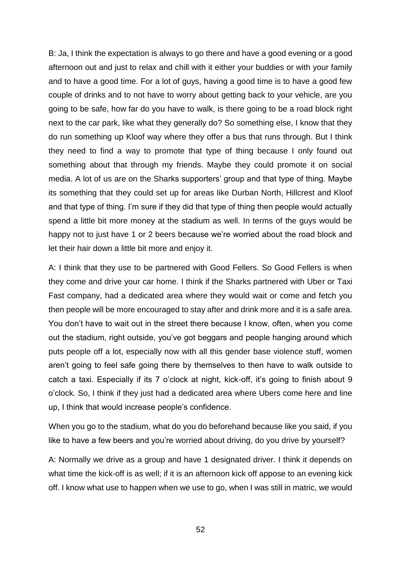B: Ja, I think the expectation is always to go there and have a good evening or a good afternoon out and just to relax and chill with it either your buddies or with your family and to have a good time. For a lot of guys, having a good time is to have a good few couple of drinks and to not have to worry about getting back to your vehicle, are you going to be safe, how far do you have to walk, is there going to be a road block right next to the car park, like what they generally do? So something else, I know that they do run something up Kloof way where they offer a bus that runs through. But I think they need to find a way to promote that type of thing because I only found out something about that through my friends. Maybe they could promote it on social media. A lot of us are on the Sharks supporters' group and that type of thing. Maybe its something that they could set up for areas like Durban North, Hillcrest and Kloof and that type of thing. I'm sure if they did that type of thing then people would actually spend a little bit more money at the stadium as well. In terms of the guys would be happy not to just have 1 or 2 beers because we're worried about the road block and let their hair down a little bit more and enjoy it.

A: I think that they use to be partnered with Good Fellers. So Good Fellers is when they come and drive your car home. I think if the Sharks partnered with Uber or Taxi Fast company, had a dedicated area where they would wait or come and fetch you then people will be more encouraged to stay after and drink more and it is a safe area. You don't have to wait out in the street there because I know, often, when you come out the stadium, right outside, you've got beggars and people hanging around which puts people off a lot, especially now with all this gender base violence stuff, women aren't going to feel safe going there by themselves to then have to walk outside to catch a taxi. Especially if its 7 o'clock at night, kick-off, it's going to finish about 9 o'clock. So, I think if they just had a dedicated area where Ubers come here and line up, I think that would increase people's confidence.

When you go to the stadium, what do you do beforehand because like you said, if you like to have a few beers and you're worried about driving, do you drive by yourself?

A: Normally we drive as a group and have 1 designated driver. I think it depends on what time the kick-off is as well; if it is an afternoon kick off appose to an evening kick off. I know what use to happen when we use to go, when I was still in matric, we would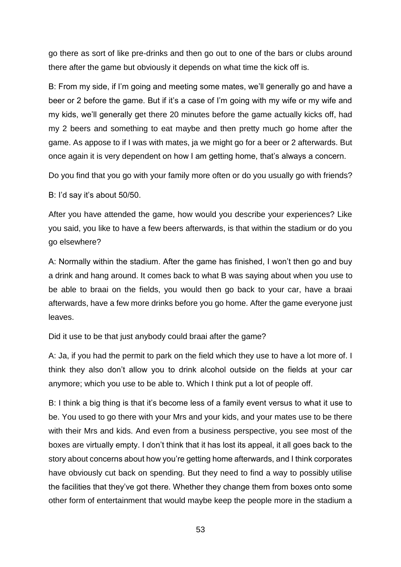go there as sort of like pre-drinks and then go out to one of the bars or clubs around there after the game but obviously it depends on what time the kick off is.

B: From my side, if I'm going and meeting some mates, we'll generally go and have a beer or 2 before the game. But if it's a case of I'm going with my wife or my wife and my kids, we'll generally get there 20 minutes before the game actually kicks off, had my 2 beers and something to eat maybe and then pretty much go home after the game. As appose to if I was with mates, ja we might go for a beer or 2 afterwards. But once again it is very dependent on how I am getting home, that's always a concern.

Do you find that you go with your family more often or do you usually go with friends?

B: I'd say it's about 50/50.

After you have attended the game, how would you describe your experiences? Like you said, you like to have a few beers afterwards, is that within the stadium or do you go elsewhere?

A: Normally within the stadium. After the game has finished, I won't then go and buy a drink and hang around. It comes back to what B was saying about when you use to be able to braai on the fields, you would then go back to your car, have a braai afterwards, have a few more drinks before you go home. After the game everyone just leaves.

Did it use to be that just anybody could braai after the game?

A: Ja, if you had the permit to park on the field which they use to have a lot more of. I think they also don't allow you to drink alcohol outside on the fields at your car anymore; which you use to be able to. Which I think put a lot of people off.

B: I think a big thing is that it's become less of a family event versus to what it use to be. You used to go there with your Mrs and your kids, and your mates use to be there with their Mrs and kids. And even from a business perspective, you see most of the boxes are virtually empty. I don't think that it has lost its appeal, it all goes back to the story about concerns about how you're getting home afterwards, and I think corporates have obviously cut back on spending. But they need to find a way to possibly utilise the facilities that they've got there. Whether they change them from boxes onto some other form of entertainment that would maybe keep the people more in the stadium a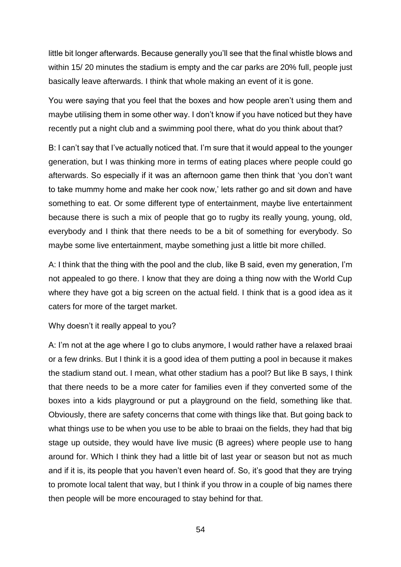little bit longer afterwards. Because generally you'll see that the final whistle blows and within 15/ 20 minutes the stadium is empty and the car parks are 20% full, people just basically leave afterwards. I think that whole making an event of it is gone.

You were saying that you feel that the boxes and how people aren't using them and maybe utilising them in some other way. I don't know if you have noticed but they have recently put a night club and a swimming pool there, what do you think about that?

B: I can't say that I've actually noticed that. I'm sure that it would appeal to the younger generation, but I was thinking more in terms of eating places where people could go afterwards. So especially if it was an afternoon game then think that 'you don't want to take mummy home and make her cook now,' lets rather go and sit down and have something to eat. Or some different type of entertainment, maybe live entertainment because there is such a mix of people that go to rugby its really young, young, old, everybody and I think that there needs to be a bit of something for everybody. So maybe some live entertainment, maybe something just a little bit more chilled.

A: I think that the thing with the pool and the club, like B said, even my generation, I'm not appealed to go there. I know that they are doing a thing now with the World Cup where they have got a big screen on the actual field. I think that is a good idea as it caters for more of the target market.

Why doesn't it really appeal to you?

A: I'm not at the age where I go to clubs anymore, I would rather have a relaxed braai or a few drinks. But I think it is a good idea of them putting a pool in because it makes the stadium stand out. I mean, what other stadium has a pool? But like B says, I think that there needs to be a more cater for families even if they converted some of the boxes into a kids playground or put a playground on the field, something like that. Obviously, there are safety concerns that come with things like that. But going back to what things use to be when you use to be able to braai on the fields, they had that big stage up outside, they would have live music (B agrees) where people use to hang around for. Which I think they had a little bit of last year or season but not as much and if it is, its people that you haven't even heard of. So, it's good that they are trying to promote local talent that way, but I think if you throw in a couple of big names there then people will be more encouraged to stay behind for that.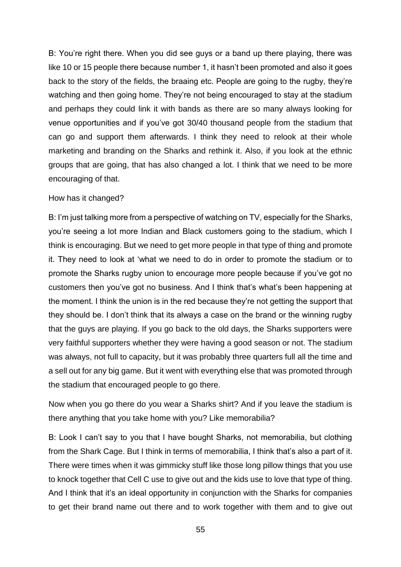B: You're right there. When you did see guys or a band up there playing, there was like 10 or 15 people there because number 1, it hasn't been promoted and also it goes back to the story of the fields, the braaing etc. People are going to the rugby, they're watching and then going home. They're not being encouraged to stay at the stadium and perhaps they could link it with bands as there are so many always looking for venue opportunities and if you've got 30/40 thousand people from the stadium that can go and support them afterwards. I think they need to relook at their whole marketing and branding on the Sharks and rethink it. Also, if you look at the ethnic groups that are going, that has also changed a lot. I think that we need to be more encouraging of that.

#### How has it changed?

B: I'm just talking more from a perspective of watching on TV, especially for the Sharks, you're seeing a lot more Indian and Black customers going to the stadium, which I think is encouraging. But we need to get more people in that type of thing and promote it. They need to look at 'what we need to do in order to promote the stadium or to promote the Sharks rugby union to encourage more people because if you've got no customers then you've got no business. And I think that's what's been happening at the moment. I think the union is in the red because they're not getting the support that they should be. I don't think that its always a case on the brand or the winning rugby that the guys are playing. If you go back to the old days, the Sharks supporters were very faithful supporters whether they were having a good season or not. The stadium was always, not full to capacity, but it was probably three quarters full all the time and a sell out for any big game. But it went with everything else that was promoted through the stadium that encouraged people to go there.

Now when you go there do you wear a Sharks shirt? And if you leave the stadium is there anything that you take home with you? Like memorabilia?

B: Look I can't say to you that I have bought Sharks, not memorabilia, but clothing from the Shark Cage. But I think in terms of memorabilia, I think that's also a part of it. There were times when it was gimmicky stuff like those long pillow things that you use to knock together that Cell C use to give out and the kids use to love that type of thing. And I think that it's an ideal opportunity in conjunction with the Sharks for companies to get their brand name out there and to work together with them and to give out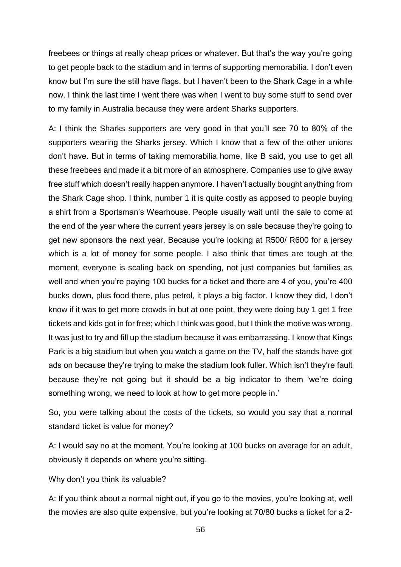freebees or things at really cheap prices or whatever. But that's the way you're going to get people back to the stadium and in terms of supporting memorabilia. I don't even know but I'm sure the still have flags, but I haven't been to the Shark Cage in a while now. I think the last time I went there was when I went to buy some stuff to send over to my family in Australia because they were ardent Sharks supporters.

A: I think the Sharks supporters are very good in that you'll see 70 to 80% of the supporters wearing the Sharks jersey. Which I know that a few of the other unions don't have. But in terms of taking memorabilia home, like B said, you use to get all these freebees and made it a bit more of an atmosphere. Companies use to give away free stuff which doesn't really happen anymore. I haven't actually bought anything from the Shark Cage shop. I think, number 1 it is quite costly as apposed to people buying a shirt from a Sportsman's Wearhouse. People usually wait until the sale to come at the end of the year where the current years jersey is on sale because they're going to get new sponsors the next year. Because you're looking at R500/ R600 for a jersey which is a lot of money for some people. I also think that times are tough at the moment, everyone is scaling back on spending, not just companies but families as well and when you're paying 100 bucks for a ticket and there are 4 of you, you're 400 bucks down, plus food there, plus petrol, it plays a big factor. I know they did, I don't know if it was to get more crowds in but at one point, they were doing buy 1 get 1 free tickets and kids got in for free; which I think was good, but I think the motive was wrong. It was just to try and fill up the stadium because it was embarrassing. I know that Kings Park is a big stadium but when you watch a game on the TV, half the stands have got ads on because they're trying to make the stadium look fuller. Which isn't they're fault because they're not going but it should be a big indicator to them 'we're doing something wrong, we need to look at how to get more people in.'

So, you were talking about the costs of the tickets, so would you say that a normal standard ticket is value for money?

A: I would say no at the moment. You're looking at 100 bucks on average for an adult, obviously it depends on where you're sitting.

Why don't you think its valuable?

A: If you think about a normal night out, if you go to the movies, you're looking at, well the movies are also quite expensive, but you're looking at 70/80 bucks a ticket for a 2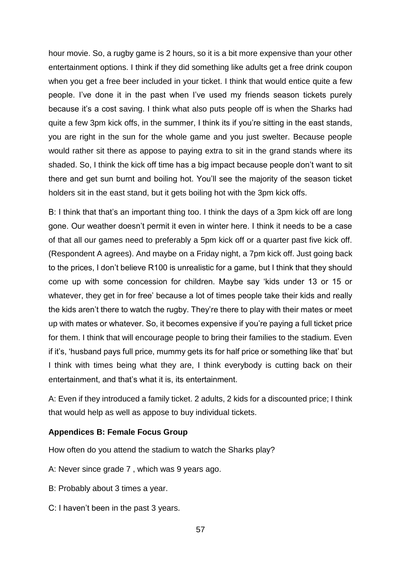hour movie. So, a rugby game is 2 hours, so it is a bit more expensive than your other entertainment options. I think if they did something like adults get a free drink coupon when you get a free beer included in your ticket. I think that would entice quite a few people. I've done it in the past when I've used my friends season tickets purely because it's a cost saving. I think what also puts people off is when the Sharks had quite a few 3pm kick offs, in the summer, I think its if you're sitting in the east stands, you are right in the sun for the whole game and you just swelter. Because people would rather sit there as appose to paying extra to sit in the grand stands where its shaded. So, I think the kick off time has a big impact because people don't want to sit there and get sun burnt and boiling hot. You'll see the majority of the season ticket holders sit in the east stand, but it gets boiling hot with the 3pm kick offs.

B: I think that that's an important thing too. I think the days of a 3pm kick off are long gone. Our weather doesn't permit it even in winter here. I think it needs to be a case of that all our games need to preferably a 5pm kick off or a quarter past five kick off. (Respondent A agrees). And maybe on a Friday night, a 7pm kick off. Just going back to the prices, I don't believe R100 is unrealistic for a game, but I think that they should come up with some concession for children. Maybe say 'kids under 13 or 15 or whatever, they get in for free' because a lot of times people take their kids and really the kids aren't there to watch the rugby. They're there to play with their mates or meet up with mates or whatever. So, it becomes expensive if you're paying a full ticket price for them. I think that will encourage people to bring their families to the stadium. Even if it's, 'husband pays full price, mummy gets its for half price or something like that' but I think with times being what they are, I think everybody is cutting back on their entertainment, and that's what it is, its entertainment.

A: Even if they introduced a family ticket. 2 adults, 2 kids for a discounted price; I think that would help as well as appose to buy individual tickets.

### **Appendices B: Female Focus Group**

How often do you attend the stadium to watch the Sharks play?

- A: Never since grade 7 , which was 9 years ago.
- B: Probably about 3 times a year.
- C: I haven't been in the past 3 years.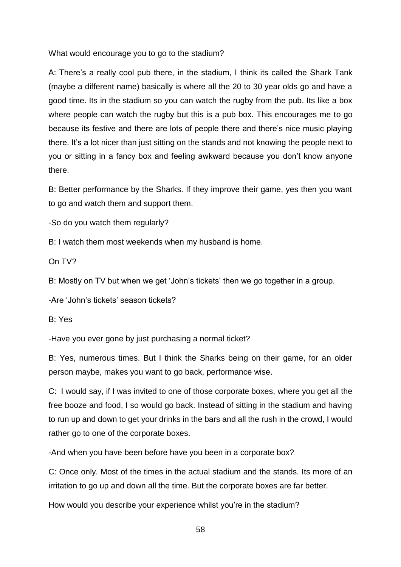What would encourage you to go to the stadium?

A: There's a really cool pub there, in the stadium, I think its called the Shark Tank (maybe a different name) basically is where all the 20 to 30 year olds go and have a good time. Its in the stadium so you can watch the rugby from the pub. Its like a box where people can watch the rugby but this is a pub box. This encourages me to go because its festive and there are lots of people there and there's nice music playing there. It's a lot nicer than just sitting on the stands and not knowing the people next to you or sitting in a fancy box and feeling awkward because you don't know anyone there.

B: Better performance by the Sharks. If they improve their game, yes then you want to go and watch them and support them.

-So do you watch them regularly?

B: I watch them most weekends when my husband is home.

On TV?

B: Mostly on TV but when we get 'John's tickets' then we go together in a group.

-Are 'John's tickets' season tickets?

B: Yes

-Have you ever gone by just purchasing a normal ticket?

B: Yes, numerous times. But I think the Sharks being on their game, for an older person maybe, makes you want to go back, performance wise.

C: I would say, if I was invited to one of those corporate boxes, where you get all the free booze and food, I so would go back. Instead of sitting in the stadium and having to run up and down to get your drinks in the bars and all the rush in the crowd, I would rather go to one of the corporate boxes.

-And when you have been before have you been in a corporate box?

C: Once only. Most of the times in the actual stadium and the stands. Its more of an irritation to go up and down all the time. But the corporate boxes are far better.

How would you describe your experience whilst you're in the stadium?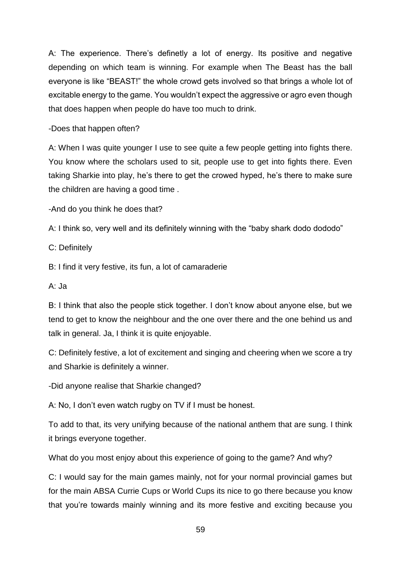A: The experience. There's definetly a lot of energy. Its positive and negative depending on which team is winning. For example when The Beast has the ball everyone is like "BEAST!" the whole crowd gets involved so that brings a whole lot of excitable energy to the game. You wouldn't expect the aggressive or agro even though that does happen when people do have too much to drink.

-Does that happen often?

A: When I was quite younger I use to see quite a few people getting into fights there. You know where the scholars used to sit, people use to get into fights there. Even taking Sharkie into play, he's there to get the crowed hyped, he's there to make sure the children are having a good time .

-And do you think he does that?

A: I think so, very well and its definitely winning with the "baby shark dodo dododo"

C: Definitely

B: I find it very festive, its fun, a lot of camaraderie

A: Ja

B: I think that also the people stick together. I don't know about anyone else, but we tend to get to know the neighbour and the one over there and the one behind us and talk in general. Ja, I think it is quite enjoyable.

C: Definitely festive, a lot of excitement and singing and cheering when we score a try and Sharkie is definitely a winner.

-Did anyone realise that Sharkie changed?

A: No, I don't even watch rugby on TV if I must be honest.

To add to that, its very unifying because of the national anthem that are sung. I think it brings everyone together.

What do you most enjoy about this experience of going to the game? And why?

C: I would say for the main games mainly, not for your normal provincial games but for the main ABSA Currie Cups or World Cups its nice to go there because you know that you're towards mainly winning and its more festive and exciting because you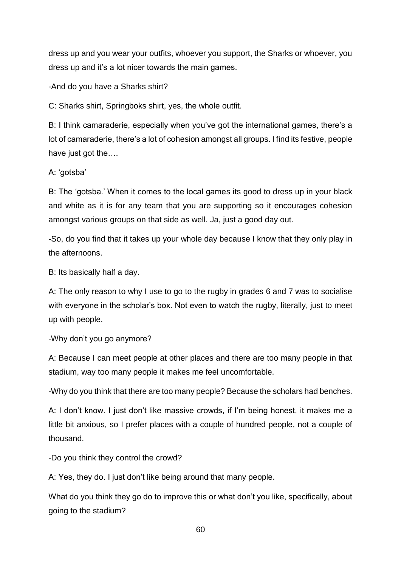dress up and you wear your outfits, whoever you support, the Sharks or whoever, you dress up and it's a lot nicer towards the main games.

-And do you have a Sharks shirt?

C: Sharks shirt, Springboks shirt, yes, the whole outfit.

B: I think camaraderie, especially when you've got the international games, there's a lot of camaraderie, there's a lot of cohesion amongst all groups. I find its festive, people have just got the….

A: 'gotsba'

B: The 'gotsba.' When it comes to the local games its good to dress up in your black and white as it is for any team that you are supporting so it encourages cohesion amongst various groups on that side as well. Ja, just a good day out.

-So, do you find that it takes up your whole day because I know that they only play in the afternoons.

B: Its basically half a day.

A: The only reason to why I use to go to the rugby in grades 6 and 7 was to socialise with everyone in the scholar's box. Not even to watch the rugby, literally, just to meet up with people.

-Why don't you go anymore?

A: Because I can meet people at other places and there are too many people in that stadium, way too many people it makes me feel uncomfortable.

-Why do you think that there are too many people? Because the scholars had benches.

A: I don't know. I just don't like massive crowds, if I'm being honest, it makes me a little bit anxious, so I prefer places with a couple of hundred people, not a couple of thousand.

-Do you think they control the crowd?

A: Yes, they do. I just don't like being around that many people.

What do you think they go do to improve this or what don't you like, specifically, about going to the stadium?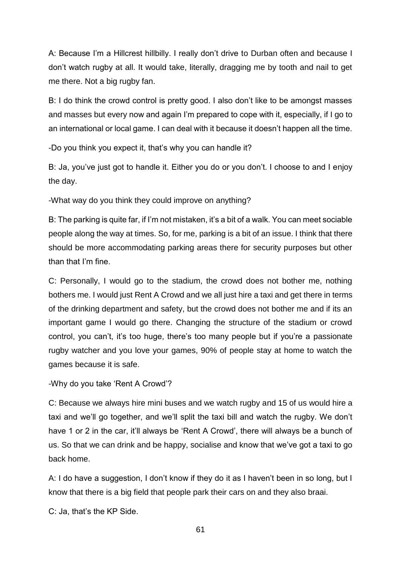A: Because I'm a Hillcrest hillbilly. I really don't drive to Durban often and because I don't watch rugby at all. It would take, literally, dragging me by tooth and nail to get me there. Not a big rugby fan.

B: I do think the crowd control is pretty good. I also don't like to be amongst masses and masses but every now and again I'm prepared to cope with it, especially, if I go to an international or local game. I can deal with it because it doesn't happen all the time.

-Do you think you expect it, that's why you can handle it?

B: Ja, you've just got to handle it. Either you do or you don't. I choose to and I enjoy the day.

-What way do you think they could improve on anything?

B: The parking is quite far, if I'm not mistaken, it's a bit of a walk. You can meet sociable people along the way at times. So, for me, parking is a bit of an issue. I think that there should be more accommodating parking areas there for security purposes but other than that I'm fine.

C: Personally, I would go to the stadium, the crowd does not bother me, nothing bothers me. I would just Rent A Crowd and we all just hire a taxi and get there in terms of the drinking department and safety, but the crowd does not bother me and if its an important game I would go there. Changing the structure of the stadium or crowd control, you can't, it's too huge, there's too many people but if you're a passionate rugby watcher and you love your games, 90% of people stay at home to watch the games because it is safe.

-Why do you take 'Rent A Crowd'?

C: Because we always hire mini buses and we watch rugby and 15 of us would hire a taxi and we'll go together, and we'll split the taxi bill and watch the rugby. We don't have 1 or 2 in the car, it'll always be 'Rent A Crowd', there will always be a bunch of us. So that we can drink and be happy, socialise and know that we've got a taxi to go back home.

A: I do have a suggestion, I don't know if they do it as I haven't been in so long, but I know that there is a big field that people park their cars on and they also braai.

C: Ja, that's the KP Side.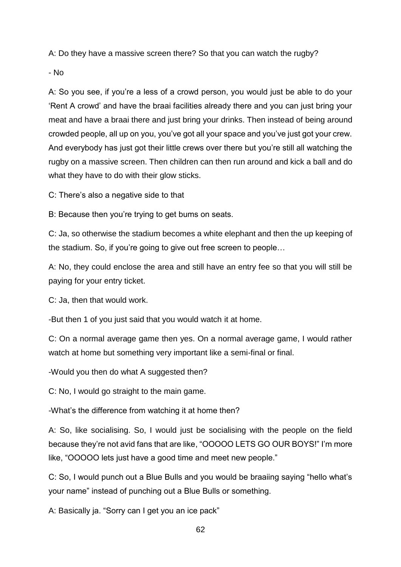A: Do they have a massive screen there? So that you can watch the rugby?

- No

A: So you see, if you're a less of a crowd person, you would just be able to do your 'Rent A crowd' and have the braai facilities already there and you can just bring your meat and have a braai there and just bring your drinks. Then instead of being around crowded people, all up on you, you've got all your space and you've just got your crew. And everybody has just got their little crews over there but you're still all watching the rugby on a massive screen. Then children can then run around and kick a ball and do what they have to do with their glow sticks.

C: There's also a negative side to that

B: Because then you're trying to get bums on seats.

C: Ja, so otherwise the stadium becomes a white elephant and then the up keeping of the stadium. So, if you're going to give out free screen to people…

A: No, they could enclose the area and still have an entry fee so that you will still be paying for your entry ticket.

C: Ja, then that would work.

-But then 1 of you just said that you would watch it at home.

C: On a normal average game then yes. On a normal average game, I would rather watch at home but something very important like a semi-final or final.

-Would you then do what A suggested then?

C: No, I would go straight to the main game.

-What's the difference from watching it at home then?

A: So, like socialising. So, I would just be socialising with the people on the field because they're not avid fans that are like, "OOOOO LETS GO OUR BOYS!" I'm more like, "OOOOO lets just have a good time and meet new people."

C: So, I would punch out a Blue Bulls and you would be braaiing saying "hello what's your name" instead of punching out a Blue Bulls or something.

A: Basically ja. "Sorry can I get you an ice pack"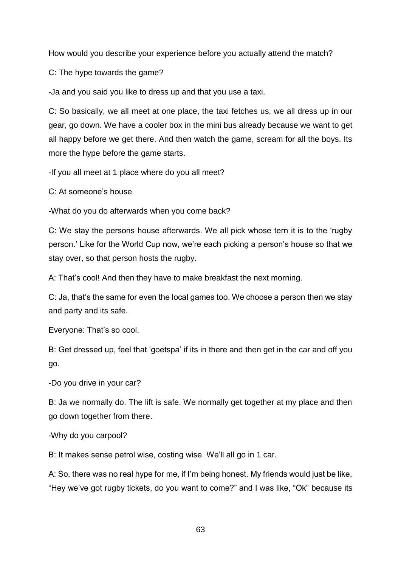How would you describe your experience before you actually attend the match?

C: The hype towards the game?

-Ja and you said you like to dress up and that you use a taxi.

C: So basically, we all meet at one place, the taxi fetches us, we all dress up in our gear, go down. We have a cooler box in the mini bus already because we want to get all happy before we get there. And then watch the game, scream for all the boys. Its more the hype before the game starts.

-If you all meet at 1 place where do you all meet?

C: At someone's house

-What do you do afterwards when you come back?

C: We stay the persons house afterwards. We all pick whose tern it is to the 'rugby person.' Like for the World Cup now, we're each picking a person's house so that we stay over, so that person hosts the rugby.

A: That's cool! And then they have to make breakfast the next morning.

C: Ja, that's the same for even the local games too. We choose a person then we stay and party and its safe.

Everyone: That's so cool.

B: Get dressed up, feel that 'goetspa' if its in there and then get in the car and off you go.

-Do you drive in your car?

B: Ja we normally do. The lift is safe. We normally get together at my place and then go down together from there.

-Why do you carpool?

B: It makes sense petrol wise, costing wise. We'll all go in 1 car.

A: So, there was no real hype for me, if I'm being honest. My friends would just be like, "Hey we've got rugby tickets, do you want to come?" and I was like, "Ok" because its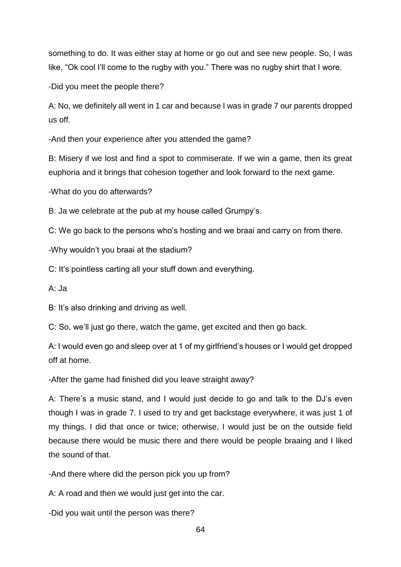something to do. It was either stay at home or go out and see new people. So, I was like, "Ok cool I'll come to the rugby with you." There was no rugby shirt that I wore.

-Did you meet the people there?

A: No, we definitely all went in 1 car and because I was in grade 7 our parents dropped us off.

-And then your experience after you attended the game?

B: Misery if we lost and find a spot to commiserate. If we win a game, then its great euphoria and it brings that cohesion together and look forward to the next game.

-What do you do afterwards?

B: Ja we celebrate at the pub at my house called Grumpy's.

C: We go back to the persons who's hosting and we braai and carry on from there.

-Why wouldn't you braai at the stadium?

C: It's pointless carting all your stuff down and everything.

A: Ja

B: It's also drinking and driving as well.

C: So, we'll just go there, watch the game, get excited and then go back.

A: I would even go and sleep over at 1 of my girlfriend's houses or I would get dropped off at home.

-After the game had finished did you leave straight away?

A: There's a music stand, and I would just decide to go and talk to the DJ's even though I was in grade 7. I used to try and get backstage everywhere, it was just 1 of my things. I did that once or twice; otherwise, I would just be on the outside field because there would be music there and there would be people braaing and I liked the sound of that.

-And there where did the person pick you up from?

A: A road and then we would just get into the car.

-Did you wait until the person was there?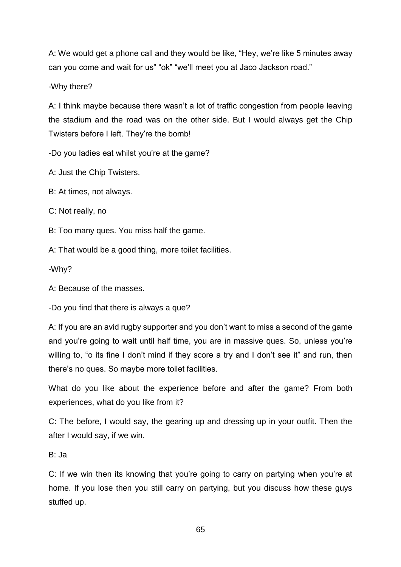A: We would get a phone call and they would be like, "Hey, we're like 5 minutes away can you come and wait for us" "ok" "we'll meet you at Jaco Jackson road."

-Why there?

A: I think maybe because there wasn't a lot of traffic congestion from people leaving the stadium and the road was on the other side. But I would always get the Chip Twisters before I left. They're the bomb!

-Do you ladies eat whilst you're at the game?

A: Just the Chip Twisters.

B: At times, not always.

C: Not really, no

B: Too many ques. You miss half the game.

A: That would be a good thing, more toilet facilities.

-Why?

A: Because of the masses.

-Do you find that there is always a que?

A: If you are an avid rugby supporter and you don't want to miss a second of the game and you're going to wait until half time, you are in massive ques. So, unless you're willing to, "o its fine I don't mind if they score a try and I don't see it" and run, then there's no ques. So maybe more toilet facilities.

What do you like about the experience before and after the game? From both experiences, what do you like from it?

C: The before, I would say, the gearing up and dressing up in your outfit. Then the after I would say, if we win.

B: Ja

C: If we win then its knowing that you're going to carry on partying when you're at home. If you lose then you still carry on partying, but you discuss how these guys stuffed up.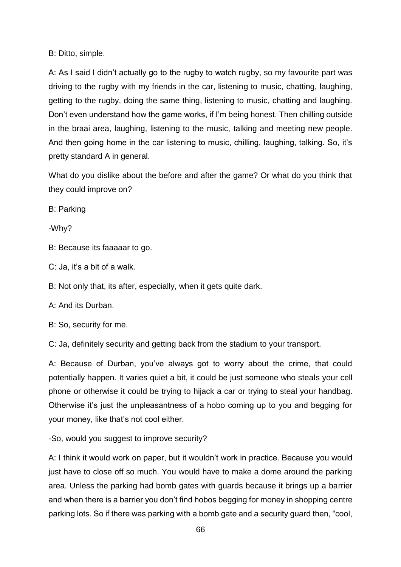B: Ditto, simple.

A: As I said I didn't actually go to the rugby to watch rugby, so my favourite part was driving to the rugby with my friends in the car, listening to music, chatting, laughing, getting to the rugby, doing the same thing, listening to music, chatting and laughing. Don't even understand how the game works, if I'm being honest. Then chilling outside in the braai area, laughing, listening to the music, talking and meeting new people. And then going home in the car listening to music, chilling, laughing, talking. So, it's pretty standard A in general.

What do you dislike about the before and after the game? Or what do you think that they could improve on?

B: Parking

-Why?

B: Because its faaaaar to go.

C: Ja, it's a bit of a walk.

B: Not only that, its after, especially, when it gets quite dark.

A: And its Durban.

B: So, security for me.

C: Ja, definitely security and getting back from the stadium to your transport.

A: Because of Durban, you've always got to worry about the crime, that could potentially happen. It varies quiet a bit, it could be just someone who steals your cell phone or otherwise it could be trying to hijack a car or trying to steal your handbag. Otherwise it's just the unpleasantness of a hobo coming up to you and begging for your money, like that's not cool either.

-So, would you suggest to improve security?

A: I think it would work on paper, but it wouldn't work in practice. Because you would just have to close off so much. You would have to make a dome around the parking area. Unless the parking had bomb gates with guards because it brings up a barrier and when there is a barrier you don't find hobos begging for money in shopping centre parking lots. So if there was parking with a bomb gate and a security guard then, "cool,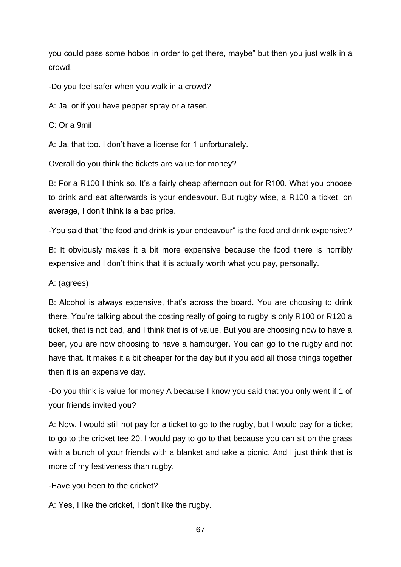you could pass some hobos in order to get there, maybe" but then you just walk in a crowd.

-Do you feel safer when you walk in a crowd?

A: Ja, or if you have pepper spray or a taser.

C: Or a 9mil

A: Ja, that too. I don't have a license for 1 unfortunately.

Overall do you think the tickets are value for money?

B: For a R100 I think so. It's a fairly cheap afternoon out for R100. What you choose to drink and eat afterwards is your endeavour. But rugby wise, a R100 a ticket, on average, I don't think is a bad price.

-You said that "the food and drink is your endeavour" is the food and drink expensive?

B: It obviously makes it a bit more expensive because the food there is horribly expensive and I don't think that it is actually worth what you pay, personally.

A: (agrees)

B: Alcohol is always expensive, that's across the board. You are choosing to drink there. You're talking about the costing really of going to rugby is only R100 or R120 a ticket, that is not bad, and I think that is of value. But you are choosing now to have a beer, you are now choosing to have a hamburger. You can go to the rugby and not have that. It makes it a bit cheaper for the day but if you add all those things together then it is an expensive day.

-Do you think is value for money A because I know you said that you only went if 1 of your friends invited you?

A: Now, I would still not pay for a ticket to go to the rugby, but I would pay for a ticket to go to the cricket tee 20. I would pay to go to that because you can sit on the grass with a bunch of your friends with a blanket and take a picnic. And I just think that is more of my festiveness than rugby.

-Have you been to the cricket?

A: Yes, I like the cricket, I don't like the rugby.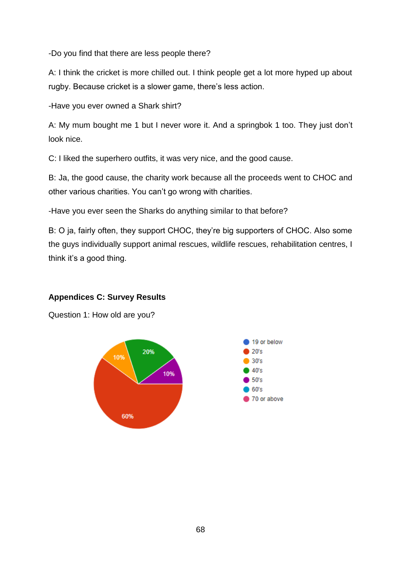-Do you find that there are less people there?

A: I think the cricket is more chilled out. I think people get a lot more hyped up about rugby. Because cricket is a slower game, there's less action.

-Have you ever owned a Shark shirt?

A: My mum bought me 1 but I never wore it. And a springbok 1 too. They just don't look nice.

C: I liked the superhero outfits, it was very nice, and the good cause.

B: Ja, the good cause, the charity work because all the proceeds went to CHOC and other various charities. You can't go wrong with charities.

-Have you ever seen the Sharks do anything similar to that before?

B: O ja, fairly often, they support CHOC, they're big supporters of CHOC. Also some the guys individually support animal rescues, wildlife rescues, rehabilitation centres, I think it's a good thing.

## **Appendices C: Survey Results**

Question 1: How old are you?

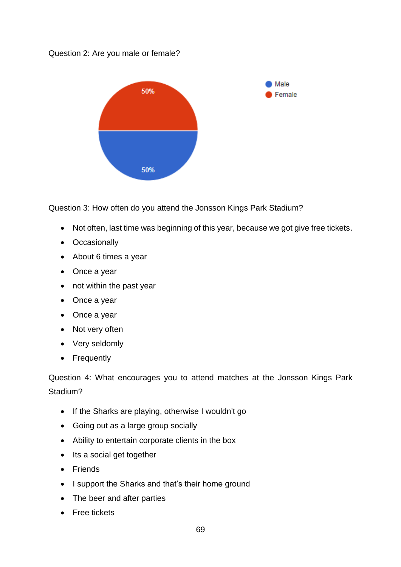Question 2: Are you male or female?



Question 3: How often do you attend the Jonsson Kings Park Stadium?

- Not often, last time was beginning of this year, because we got give free tickets.
- Occasionally
- About 6 times a year
- Once a year
- not within the past year
- Once a year
- Once a year
- Not very often
- Very seldomly
- Frequently

Question 4: What encourages you to attend matches at the Jonsson Kings Park Stadium?

- If the Sharks are playing, otherwise I wouldn't go
- Going out as a large group socially
- Ability to entertain corporate clients in the box
- Its a social get together
- Friends
- I support the Sharks and that's their home ground
- The beer and after parties
- Free tickets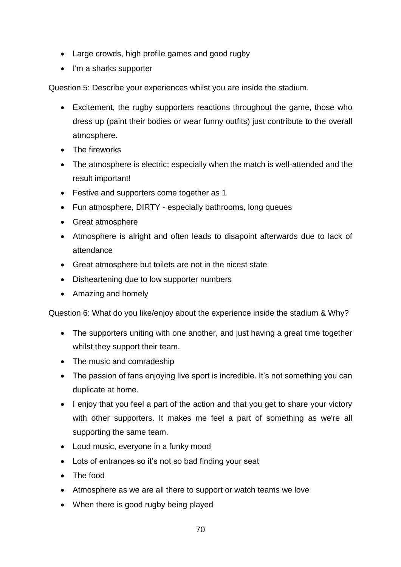- Large crowds, high profile games and good rugby
- I'm a sharks supporter

Question 5: Describe your experiences whilst you are inside the stadium.

- Excitement, the rugby supporters reactions throughout the game, those who dress up (paint their bodies or wear funny outfits) just contribute to the overall atmosphere.
- The fireworks
- The atmosphere is electric; especially when the match is well-attended and the result important!
- Festive and supporters come together as 1
- Fun atmosphere, DIRTY especially bathrooms, long queues
- Great atmosphere
- Atmosphere is alright and often leads to disapoint afterwards due to lack of attendance
- Great atmosphere but toilets are not in the nicest state
- Disheartening due to low supporter numbers
- Amazing and homely

Question 6: What do you like/enjoy about the experience inside the stadium & Why?

- The supporters uniting with one another, and just having a great time together whilst they support their team.
- The music and comradeship
- The passion of fans enjoying live sport is incredible. It's not something you can duplicate at home.
- I enjoy that you feel a part of the action and that you get to share your victory with other supporters. It makes me feel a part of something as we're all supporting the same team.
- Loud music, everyone in a funky mood
- Lots of entrances so it's not so bad finding your seat
- The food
- Atmosphere as we are all there to support or watch teams we love
- When there is good rugby being played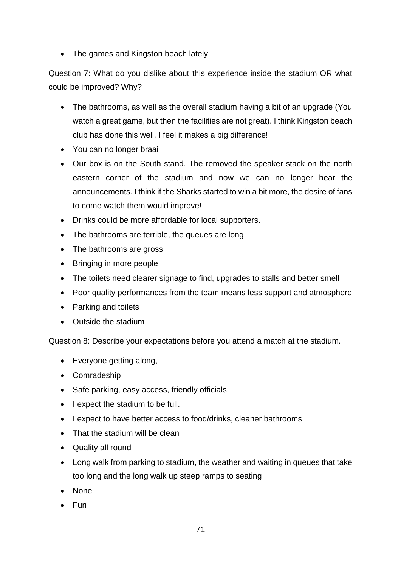• The games and Kingston beach lately

Question 7: What do you dislike about this experience inside the stadium OR what could be improved? Why?

- The bathrooms, as well as the overall stadium having a bit of an upgrade (You watch a great game, but then the facilities are not great). I think Kingston beach club has done this well, I feel it makes a big difference!
- You can no longer braai
- Our box is on the South stand. The removed the speaker stack on the north eastern corner of the stadium and now we can no longer hear the announcements. I think if the Sharks started to win a bit more, the desire of fans to come watch them would improve!
- Drinks could be more affordable for local supporters.
- The bathrooms are terrible, the queues are long
- The bathrooms are gross
- Bringing in more people
- The toilets need clearer signage to find, upgrades to stalls and better smell
- Poor quality performances from the team means less support and atmosphere
- Parking and toilets
- Outside the stadium

Question 8: Describe your expectations before you attend a match at the stadium.

- Everyone getting along,
- Comradeship
- Safe parking, easy access, friendly officials.
- I expect the stadium to be full.
- I expect to have better access to food/drinks, cleaner bathrooms
- That the stadium will be clean
- Quality all round
- Long walk from parking to stadium, the weather and waiting in queues that take too long and the long walk up steep ramps to seating
- None
- Fun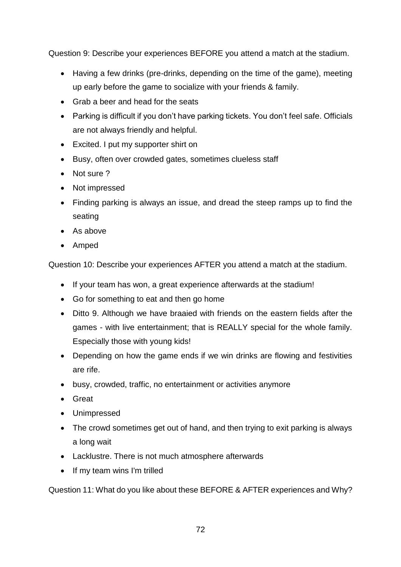Question 9: Describe your experiences BEFORE you attend a match at the stadium.

- Having a few drinks (pre-drinks, depending on the time of the game), meeting up early before the game to socialize with your friends & family.
- Grab a beer and head for the seats
- Parking is difficult if you don't have parking tickets. You don't feel safe. Officials are not always friendly and helpful.
- Excited. I put my supporter shirt on
- Busy, often over crowded gates, sometimes clueless staff
- Not sure?
- Not impressed
- Finding parking is always an issue, and dread the steep ramps up to find the seating
- As above
- Amped

Question 10: Describe your experiences AFTER you attend a match at the stadium.

- If your team has won, a great experience afterwards at the stadium!
- Go for something to eat and then go home
- Ditto 9. Although we have braaied with friends on the eastern fields after the games - with live entertainment; that is REALLY special for the whole family. Especially those with young kids!
- Depending on how the game ends if we win drinks are flowing and festivities are rife.
- busy, crowded, traffic, no entertainment or activities anymore
- Great
- Unimpressed
- The crowd sometimes get out of hand, and then trying to exit parking is always a long wait
- Lacklustre. There is not much atmosphere afterwards
- If my team wins I'm trilled

Question 11: What do you like about these BEFORE & AFTER experiences and Why?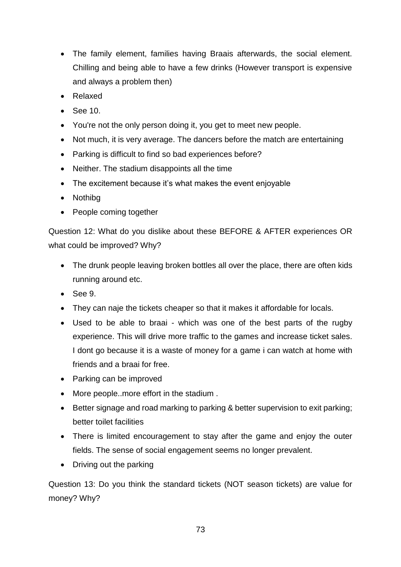- The family element, families having Braais afterwards, the social element. Chilling and being able to have a few drinks (However transport is expensive and always a problem then)
- Relaxed
- See 10.
- You're not the only person doing it, you get to meet new people.
- Not much, it is very average. The dancers before the match are entertaining
- Parking is difficult to find so bad experiences before?
- Neither. The stadium disappoints all the time
- The excitement because it's what makes the event enjoyable
- Nothibg
- People coming together

Question 12: What do you dislike about these BEFORE & AFTER experiences OR what could be improved? Why?

- The drunk people leaving broken bottles all over the place, there are often kids running around etc.
- See 9.
- They can naje the tickets cheaper so that it makes it affordable for locals.
- Used to be able to braai which was one of the best parts of the rugby experience. This will drive more traffic to the games and increase ticket sales. I dont go because it is a waste of money for a game i can watch at home with friends and a braai for free.
- Parking can be improved
- More people..more effort in the stadium .
- Better signage and road marking to parking & better supervision to exit parking; better toilet facilities
- There is limited encouragement to stay after the game and enjoy the outer fields. The sense of social engagement seems no longer prevalent.
- Driving out the parking

Question 13: Do you think the standard tickets (NOT season tickets) are value for money? Why?